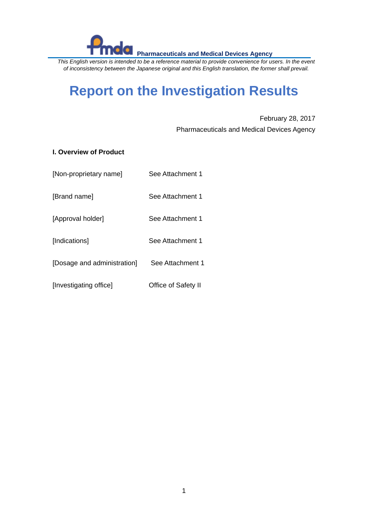*This English version is intended to be a reference material to provide convenience for users. In the event of inconsistency between the Japanese original and this English translation, the former shall prevail.*

# **Report on the Investigation Results**

February 28, 2017 Pharmaceuticals and Medical Devices Agency

# **I. Overview of Product**

| [Non-proprietary name] | See Attachment 1 |
|------------------------|------------------|
|                        |                  |

[Brand name] See Attachment 1

[Approval holder] See Attachment 1

[Indications] See Attachment 1

[Dosage and administration] See Attachment 1

[Investigating office] Office of Safety II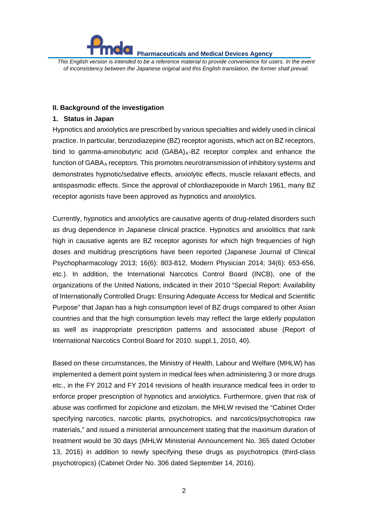

*This English version is intended to be a reference material to provide convenience for users. In the event of inconsistency between the Japanese original and this English translation, the former shall prevail.*

#### **II. Background of the investigation**

#### **1. Status in Japan**

Hypnotics and anxiolytics are prescribed by various specialties and widely used in clinical practice. In particular, benzodiazepine (BZ) receptor agonists, which act on BZ receptors, bind to gamma-aminobutyric acid  $(GABA)_A-BZ$  receptor complex and enhance the function of GABA<sub>A</sub> receptors. This promotes neurotransmission of inhibitory systems and demonstrates hypnotic/sedative effects, anxiolytic effects, muscle relaxant effects, and antispasmodic effects. Since the approval of chlordiazepoxide in March 1961, many BZ receptor agonists have been approved as hypnotics and anxiolytics.

Currently, hypnotics and anxiolytics are causative agents of drug-related disorders such as drug dependence in Japanese clinical practice. Hypnotics and anxiolitics that rank high in causative agents are BZ receptor agonists for which high frequencies of high doses and multidrug prescriptions have been reported (Japanese Journal of Clinical Psychopharmacology 2013; 16(6): 803-812, Modern Physician 2014; 34(6): 653-656, etc.). In addition, the International Narcotics Control Board (INCB), one of the organizations of the United Nations, indicated in their 2010 "Special Report: Availability of Internationally Controlled Drugs: Ensuring Adequate Access for Medical and Scientific Purpose" that Japan has a high consumption level of BZ drugs compared to other Asian countries and that the high consumption levels may reflect the large elderly population as well as inappropriate prescription patterns and associated abuse (Report of International Narcotics Control Board for 2010. suppl.1, 2010, 40).

Based on these circumstances, the Ministry of Health, Labour and Welfare (MHLW) has implemented a demerit point system in medical fees when administering 3 or more drugs etc., in the FY 2012 and FY 2014 revisions of health insurance medical fees in order to enforce proper prescription of hypnotics and anxiolytics. Furthermore, given that risk of abuse was confirmed for zopiclone and etizolam, the MHLW revised the "Cabinet Order specifying narcotics, narcotic plants, psychotropics, and narcotics/psychotropics raw materials," and issued a ministerial announcement stating that the maximum duration of treatment would be 30 days (MHLW Ministerial Announcement No. 365 dated October 13, 2016) in addition to newly specifying these drugs as psychotropics (third-class psychotropics) (Cabinet Order No. 306 dated September 14, 2016).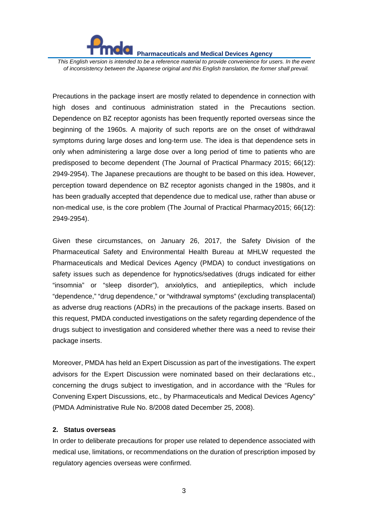

*This English version is intended to be a reference material to provide convenience for users. In the event of inconsistency between the Japanese original and this English translation, the former shall prevail.*

Precautions in the package insert are mostly related to dependence in connection with high doses and continuous administration stated in the Precautions section. Dependence on BZ receptor agonists has been frequently reported overseas since the beginning of the 1960s. A majority of such reports are on the onset of withdrawal symptoms during large doses and long-term use. The idea is that dependence sets in only when administering a large dose over a long period of time to patients who are predisposed to become dependent (The Journal of Practical Pharmacy 2015; 66(12): 2949-2954). The Japanese precautions are thought to be based on this idea. However, perception toward dependence on BZ receptor agonists changed in the 1980s, and it has been gradually accepted that dependence due to medical use, rather than abuse or non-medical use, is the core problem (The Journal of Practical Pharmacy2015; 66(12): 2949-2954).

Given these circumstances, on January 26, 2017, the Safety Division of the Pharmaceutical Safety and Environmental Health Bureau at MHLW requested the Pharmaceuticals and Medical Devices Agency (PMDA) to conduct investigations on safety issues such as dependence for hypnotics/sedatives (drugs indicated for either "insomnia" or "sleep disorder"), anxiolytics, and antiepileptics, which include "dependence," "drug dependence," or "withdrawal symptoms" (excluding transplacental) as adverse drug reactions (ADRs) in the precautions of the package inserts. Based on this request, PMDA conducted investigations on the safety regarding dependence of the drugs subject to investigation and considered whether there was a need to revise their package inserts.

Moreover, PMDA has held an Expert Discussion as part of the investigations. The expert advisors for the Expert Discussion were nominated based on their declarations etc., concerning the drugs subject to investigation, and in accordance with the "Rules for Convening Expert Discussions, etc., by Pharmaceuticals and Medical Devices Agency" (PMDA Administrative Rule No. 8/2008 dated December 25, 2008).

#### **2. Status overseas**

In order to deliberate precautions for proper use related to dependence associated with medical use, limitations, or recommendations on the duration of prescription imposed by regulatory agencies overseas were confirmed.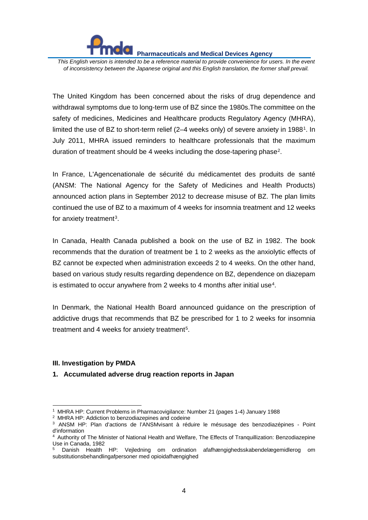*This English version is intended to be a reference material to provide convenience for users. In the event of inconsistency between the Japanese original and this English translation, the former shall prevail.*

The United Kingdom has been concerned about the risks of drug dependence and withdrawal symptoms due to long-term use of BZ since the 1980s.The committee on the safety of medicines, Medicines and Healthcare products Regulatory Agency (MHRA), limited the use of BZ to short-term relief (2–4 weeks only) of severe anxiety in 1988[1.](#page-3-0) In July 2011, MHRA issued reminders to healthcare professionals that the maximum duration of treatment should be 4 weeks including the dose-tapering phase<sup>[2](#page-3-1)</sup>.

In France, L'Agencenationale de sécurité du médicamentet des produits de santé (ANSM: The National Agency for the Safety of Medicines and Health Products) announced action plans in September 2012 to decrease misuse of BZ. The plan limits continued the use of BZ to a maximum of 4 weeks for insomnia treatment and 12 weeks for anxiety treatment<sup>3</sup>.

In Canada, Health Canada published a book on the use of BZ in 1982. The book recommends that the duration of treatment be 1 to 2 weeks as the anxiolytic effects of BZ cannot be expected when administration exceeds 2 to 4 weeks. On the other hand, based on various study results regarding dependence on BZ, dependence on diazepam is estimated to occur anywhere from 2 weeks to [4](#page-3-3) months after initial use<sup>4</sup>.

In Denmark, the National Health Board announced guidance on the prescription of addictive drugs that recommends that BZ be prescribed for 1 to 2 weeks for insomnia treatment and 4 weeks for anxiety treatment<sup>[5](#page-3-4)</sup>.

#### **III. Investigation by PMDA**

#### **1. Accumulated adverse drug reaction reports in Japan**

<sup>1</sup> MHRA HP: Current Problems in Pharmacovigilance: Number 21 (pages 1-4) January 1988  $\ddot{\phantom{a}}$ 

<span id="page-3-1"></span><span id="page-3-0"></span><sup>2</sup> MHRA HP: Addiction to benzodiazepines and codeine

<span id="page-3-2"></span><sup>3</sup> ANSM HP: Plan d'actions de l'ANSMvisant à réduire le mésusage des benzodiazépines - Point d'information

<span id="page-3-3"></span><sup>&</sup>lt;sup>4</sup> Authority of The Minister of National Health and Welfare, The Effects of Tranquillization: Benzodiazepine Use in Canada, 1982

<span id="page-3-4"></span><sup>5</sup> Danish Health HP: Vejledning om ordination afafhængighedsskabendelægemidlerog om substitutionsbehandlingafpersoner med opioidafhængighed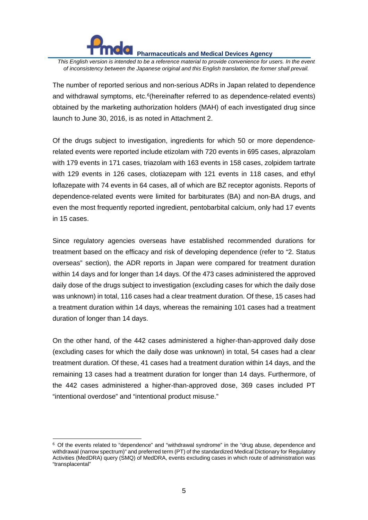

-

**Pharmaceuticals and Medical Devices Agency** 

*This English version is intended to be a reference material to provide convenience for users. In the event of inconsistency between the Japanese original and this English translation, the former shall prevail.*

The number of reported serious and non-serious ADRs in Japan related to dependence and withdrawal symptoms, etc.<sup>[6](#page-4-0)</sup>(hereinafter referred to as dependence-related events) obtained by the marketing authorization holders (MAH) of each investigated drug since launch to June 30, 2016, is as noted in Attachment 2.

Of the drugs subject to investigation, ingredients for which 50 or more dependencerelated events were reported include etizolam with 720 events in 695 cases, alprazolam with 179 events in 171 cases, triazolam with 163 events in 158 cases, zolpidem tartrate with 129 events in 126 cases, clotiazepam with 121 events in 118 cases, and ethyl loflazepate with 74 events in 64 cases, all of which are BZ receptor agonists. Reports of dependence-related events were limited for barbiturates (BA) and non-BA drugs, and even the most frequently reported ingredient, pentobarbital calcium, only had 17 events in 15 cases.

Since regulatory agencies overseas have established recommended durations for treatment based on the efficacy and risk of developing dependence (refer to "2. Status overseas" section), the ADR reports in Japan were compared for treatment duration within 14 days and for longer than 14 days. Of the 473 cases administered the approved daily dose of the drugs subject to investigation (excluding cases for which the daily dose was unknown) in total, 116 cases had a clear treatment duration. Of these, 15 cases had a treatment duration within 14 days, whereas the remaining 101 cases had a treatment duration of longer than 14 days.

On the other hand, of the 442 cases administered a higher-than-approved daily dose (excluding cases for which the daily dose was unknown) in total, 54 cases had a clear treatment duration. Of these, 41 cases had a treatment duration within 14 days, and the remaining 13 cases had a treatment duration for longer than 14 days. Furthermore, of the 442 cases administered a higher-than-approved dose, 369 cases included PT "intentional overdose" and "intentional product misuse."

<span id="page-4-0"></span><sup>6</sup> Of the events related to "dependence" and "withdrawal syndrome" in the "drug abuse, dependence and withdrawal (narrow spectrum)" and preferred term (PT) of the standardized Medical Dictionary for Regulatory Activities (MedDRA) query (SMQ) of MedDRA, events excluding cases in which route of administration was "transplacental"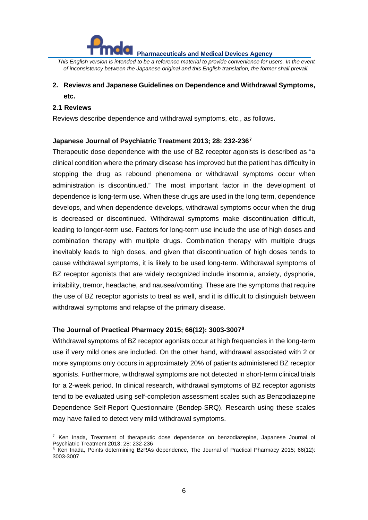

*This English version is intended to be a reference material to provide convenience for users. In the event of inconsistency between the Japanese original and this English translation, the former shall prevail.*

# **2. Reviews and Japanese Guidelines on Dependence and Withdrawal Symptoms, etc.**

#### **2.1 Reviews**

 $\overline{a}$ 

Reviews describe dependence and withdrawal symptoms, etc., as follows.

#### **Japanese Journal of Psychiatric Treatment 2013; 28: 232-236[7](#page-5-0)**

Therapeutic dose dependence with the use of BZ receptor agonists is described as "a clinical condition where the primary disease has improved but the patient has difficulty in stopping the drug as rebound phenomena or withdrawal symptoms occur when administration is discontinued." The most important factor in the development of dependence is long-term use. When these drugs are used in the long term, dependence develops, and when dependence develops, withdrawal symptoms occur when the drug is decreased or discontinued. Withdrawal symptoms make discontinuation difficult, leading to longer-term use. Factors for long-term use include the use of high doses and combination therapy with multiple drugs. Combination therapy with multiple drugs inevitably leads to high doses, and given that discontinuation of high doses tends to cause withdrawal symptoms, it is likely to be used long-term. Withdrawal symptoms of BZ receptor agonists that are widely recognized include insomnia, anxiety, dysphoria, irritability, tremor, headache, and nausea/vomiting. These are the symptoms that require the use of BZ receptor agonists to treat as well, and it is difficult to distinguish between withdrawal symptoms and relapse of the primary disease.

#### **The Journal of Practical Pharmacy 2015; 66(12): 3003-3007[8](#page-5-1)**

Withdrawal symptoms of BZ receptor agonists occur at high frequencies in the long-term use if very mild ones are included. On the other hand, withdrawal associated with 2 or more symptoms only occurs in approximately 20% of patients administered BZ receptor agonists. Furthermore, withdrawal symptoms are not detected in short-term clinical trials for a 2-week period. In clinical research, withdrawal symptoms of BZ receptor agonists tend to be evaluated using self-completion assessment scales such as Benzodiazepine Dependence Self-Report Questionnaire (Bendep-SRQ). Research using these scales may have failed to detect very mild withdrawal symptoms.

<span id="page-5-0"></span><sup>7</sup> Ken Inada, Treatment of therapeutic dose dependence on benzodiazepine, Japanese Journal of Psychiatric Treatment 2013; 28: 232-236

<span id="page-5-1"></span> $8$  Ken Inada, Points determining BzRAs dependence, The Journal of Practical Pharmacy 2015; 66(12): 3003-3007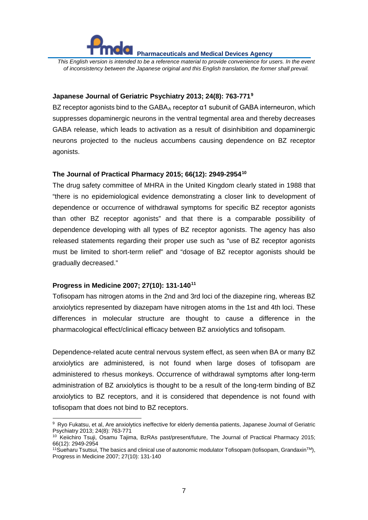*This English version is intended to be a reference material to provide convenience for users. In the event of inconsistency between the Japanese original and this English translation, the former shall prevail.*

#### **Japanese Journal of Geriatric Psychiatry 2013; 24(8): 763-771[9](#page-6-0)**

BZ receptor agonists bind to the GABA<sub>A</sub> receptor  $\alpha$ 1 subunit of GABA interneuron, which suppresses dopaminergic neurons in the ventral tegmental area and thereby decreases GABA release, which leads to activation as a result of disinhibition and dopaminergic neurons projected to the nucleus accumbens causing dependence on BZ receptor agonists.

#### **The Journal of Practical Pharmacy 2015; 66(12): 2949-2954[10](#page-6-1)**

The drug safety committee of MHRA in the United Kingdom clearly stated in 1988 that "there is no epidemiological evidence demonstrating a closer link to development of dependence or occurrence of withdrawal symptoms for specific BZ receptor agonists than other BZ receptor agonists" and that there is a comparable possibility of dependence developing with all types of BZ receptor agonists. The agency has also released statements regarding their proper use such as "use of BZ receptor agonists must be limited to short-term relief" and "dosage of BZ receptor agonists should be gradually decreased."

#### **Progress in Medicine 2007; 27(10): 131-140[11](#page-6-2)**

-

Tofisopam has nitrogen atoms in the 2nd and 3rd loci of the diazepine ring, whereas BZ anxiolytics represented by diazepam have nitrogen atoms in the 1st and 4th loci. These differences in molecular structure are thought to cause a difference in the pharmacological effect/clinical efficacy between BZ anxiolytics and tofisopam.

Dependence-related acute central nervous system effect, as seen when BA or many BZ anxiolytics are administered, is not found when large doses of tofisopam are administered to rhesus monkeys. Occurrence of withdrawal symptoms after long-term administration of BZ anxiolytics is thought to be a result of the long-term binding of BZ anxiolytics to BZ receptors, and it is considered that dependence is not found with tofisopam that does not bind to BZ receptors.

<span id="page-6-0"></span><sup>9</sup> Ryo Fukatsu, et al, Are anxiolytics ineffective for elderly dementia patients, Japanese Journal of Geriatric Psychiatry 2013; 24(8): 763-771

<span id="page-6-1"></span><sup>&</sup>lt;sup>10</sup> Keiichiro Tsuji, Osamu Tajima, BzRAs past/present/future, The Journal of Practical Pharmacy 2015; 66(12): 2949-2954

<span id="page-6-2"></span><sup>&</sup>lt;sup>11</sup>Sueharu Tsutsui, The basics and clinical use of autonomic modulator Tofisopam (tofisopam, Grandaxin<sup>TM</sup>), Progress in Medicine 2007; 27(10): 131-140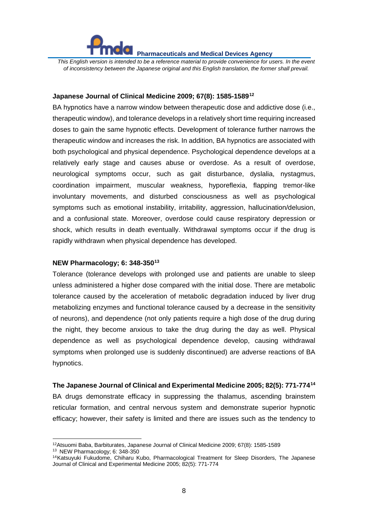

*This English version is intended to be a reference material to provide convenience for users. In the event of inconsistency between the Japanese original and this English translation, the former shall prevail.*

#### **Japanese Journal of Clinical Medicine 2009; 67(8): 1585-1589[12](#page-7-0)**

BA hypnotics have a narrow window between therapeutic dose and addictive dose (i.e., therapeutic window), and tolerance develops in a relatively short time requiring increased doses to gain the same hypnotic effects. Development of tolerance further narrows the therapeutic window and increases the risk. In addition, BA hypnotics are associated with both psychological and physical dependence. Psychological dependence develops at a relatively early stage and causes abuse or overdose. As a result of overdose, neurological symptoms occur, such as gait disturbance, dyslalia, nystagmus, coordination impairment, muscular weakness, hyporeflexia, flapping tremor-like involuntary movements, and disturbed consciousness as well as psychological symptoms such as emotional instability, irritability, aggression, hallucination/delusion, and a confusional state. Moreover, overdose could cause respiratory depression or shock, which results in death eventually. Withdrawal symptoms occur if the drug is rapidly withdrawn when physical dependence has developed.

#### **NEW Pharmacology; 6: 348-350[13](#page-7-1)**

Tolerance (tolerance develops with prolonged use and patients are unable to sleep unless administered a higher dose compared with the initial dose. There are metabolic tolerance caused by the acceleration of metabolic degradation induced by liver drug metabolizing enzymes and functional tolerance caused by a decrease in the sensitivity of neurons), and dependence (not only patients require a high dose of the drug during the night, they become anxious to take the drug during the day as well. Physical dependence as well as psychological dependence develop, causing withdrawal symptoms when prolonged use is suddenly discontinued) are adverse reactions of BA hypnotics.

**The Japanese Journal of Clinical and Experimental Medicine 2005; 82(5): 771-774[14](#page-7-2)** BA drugs demonstrate efficacy in suppressing the thalamus, ascending brainstem reticular formation, and central nervous system and demonstrate superior hypnotic efficacy; however, their safety is limited and there are issues such as the tendency to

-

<span id="page-7-0"></span><sup>12</sup>Atsuomi Baba, Barbiturates, Japanese Journal of Clinical Medicine 2009; 67(8): 1585-1589

<sup>13</sup> NEW Pharmacology; 6: 348-350

<span id="page-7-2"></span><span id="page-7-1"></span><sup>14</sup>Katsuyuki Fukudome, Chiharu Kubo, Pharmacological Treatment for Sleep Disorders, The Japanese Journal of Clinical and Experimental Medicine 2005; 82(5): 771-774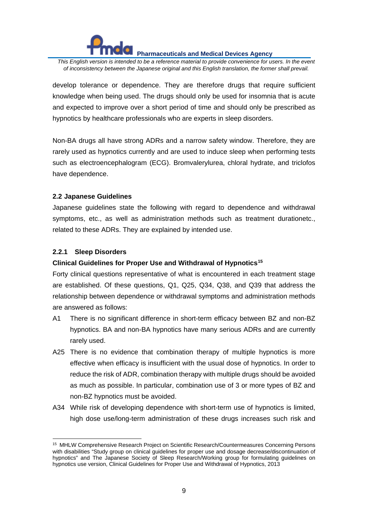*This English version is intended to be a reference material to provide convenience for users. In the event of inconsistency between the Japanese original and this English translation, the former shall prevail.*

develop tolerance or dependence. They are therefore drugs that require sufficient knowledge when being used. The drugs should only be used for insomnia that is acute and expected to improve over a short period of time and should only be prescribed as hypnotics by healthcare professionals who are experts in sleep disorders.

Non-BA drugs all have strong ADRs and a narrow safety window. Therefore, they are rarely used as hypnotics currently and are used to induce sleep when performing tests such as electroencephalogram (ECG). Bromvalerylurea, chloral hydrate, and triclofos have dependence.

#### **2.2 Japanese Guidelines**

Japanese guidelines state the following with regard to dependence and withdrawal symptoms, etc., as well as administration methods such as treatment durationetc., related to these ADRs. They are explained by intended use.

# **2.2.1 Sleep Disorders**

# **Clinical Guidelines for Proper Use and Withdrawal of Hypnotics[15](#page-8-0)**

Forty clinical questions representative of what is encountered in each treatment stage are established. Of these questions, Q1, Q25, Q34, Q38, and Q39 that address the relationship between dependence or withdrawal symptoms and administration methods are answered as follows:

- A1 There is no significant difference in short-term efficacy between BZ and non-BZ hypnotics. BA and non-BA hypnotics have many serious ADRs and are currently rarely used.
- A25 There is no evidence that combination therapy of multiple hypnotics is more effective when efficacy is insufficient with the usual dose of hypnotics. In order to reduce the risk of ADR, combination therapy with multiple drugs should be avoided as much as possible. In particular, combination use of 3 or more types of BZ and non-BZ hypnotics must be avoided.
- A34 While risk of developing dependence with short-term use of hypnotics is limited, high dose use/long-term administration of these drugs increases such risk and

<span id="page-8-0"></span><sup>15</sup> MHLW Comprehensive Research Project on Scientific Research/Countermeasures Concerning Persons with disabilities "Study group on clinical guidelines for proper use and dosage decrease/discontinuation of hypnotics" and The Japanese Society of Sleep Research/Working group for formulating guidelines on hypnotics use version, Clinical Guidelines for Proper Use and Withdrawal of Hypnotics, 2013 -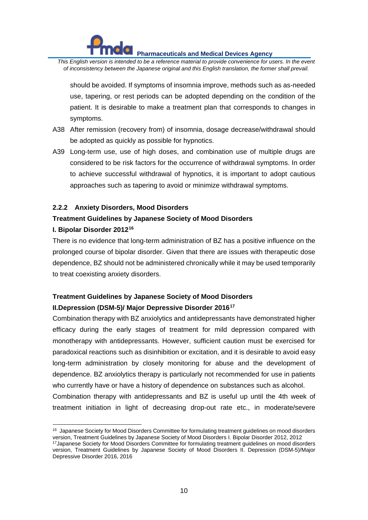*This English version is intended to be a reference material to provide convenience for users. In the event of inconsistency between the Japanese original and this English translation, the former shall prevail.*

should be avoided. If symptoms of insomnia improve, methods such as as-needed use, tapering, or rest periods can be adopted depending on the condition of the patient. It is desirable to make a treatment plan that corresponds to changes in symptoms.

- A38 After remission (recovery from) of insomnia, dosage decrease/withdrawal should be adopted as quickly as possible for hypnotics.
- A39 Long-term use, use of high doses, and combination use of multiple drugs are considered to be risk factors for the occurrence of withdrawal symptoms. In order to achieve successful withdrawal of hypnotics, it is important to adopt cautious approaches such as tapering to avoid or minimize withdrawal symptoms.

#### **2.2.2 Anxiety Disorders, Mood Disorders**

#### **Treatment Guidelines by Japanese Society of Mood Disorders**

#### **I. Bipolar Disorder 2012[16](#page-9-0)**

There is no evidence that long-term administration of BZ has a positive influence on the prolonged course of bipolar disorder. Given that there are issues with therapeutic dose dependence, BZ should not be administered chronically while it may be used temporarily to treat coexisting anxiety disorders.

# **Treatment Guidelines by Japanese Society of Mood Disorders II.Depression (DSM-5)/ Major Depressive Disorder 2016[17](#page-9-1)**

Combination therapy with BZ anxiolytics and antidepressants have demonstrated higher efficacy during the early stages of treatment for mild depression compared with monotherapy with antidepressants. However, sufficient caution must be exercised for paradoxical reactions such as disinhibition or excitation, and it is desirable to avoid easy long-term administration by closely monitoring for abuse and the development of dependence. BZ anxiolytics therapy is particularly not recommended for use in patients who currently have or have a history of dependence on substances such as alcohol.

Combination therapy with antidepressants and BZ is useful up until the 4th week of treatment initiation in light of decreasing drop-out rate etc., in moderate/severe

<span id="page-9-0"></span><sup>&</sup>lt;sup>16</sup> Japanese Society for Mood Disorders Committee for formulating treatment guidelines on mood disorders version, Treatment Guidelines by Japanese Society of Mood Disorders I. Bipolar Disorder 2012, 2012  $\ddot{ }$ 

<span id="page-9-1"></span><sup>17</sup>Japanese Society for Mood Disorders Committee for formulating treatment guidelines on mood disorders version, Treatment Guidelines by Japanese Society of Mood Disorders II. Depression (DSM-5)/Major Depressive Disorder 2016, 2016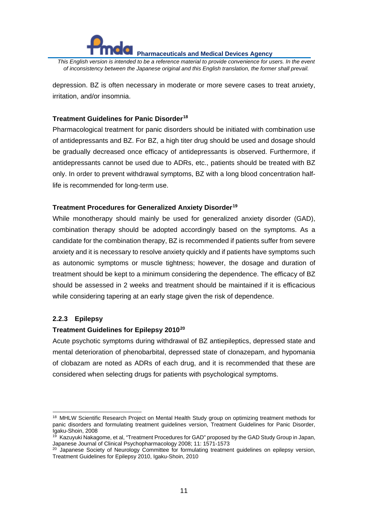

*This English version is intended to be a reference material to provide convenience for users. In the event of inconsistency between the Japanese original and this English translation, the former shall prevail.*

depression. BZ is often necessary in moderate or more severe cases to treat anxiety, irritation, and/or insomnia.

# **Treatment Guidelines for Panic Disorder[18](#page-10-0)**

Pharmacological treatment for panic disorders should be initiated with combination use of antidepressants and BZ. For BZ, a high titer drug should be used and dosage should be gradually decreased once efficacy of antidepressants is observed. Furthermore, if antidepressants cannot be used due to ADRs, etc., patients should be treated with BZ only. In order to prevent withdrawal symptoms, BZ with a long blood concentration halflife is recommended for long-term use.

# **Treatment Procedures for Generalized Anxiety Disorder[19](#page-10-1)**

While monotherapy should mainly be used for generalized anxiety disorder (GAD), combination therapy should be adopted accordingly based on the symptoms. As a candidate for the combination therapy, BZ is recommended if patients suffer from severe anxiety and it is necessary to resolve anxiety quickly and if patients have symptoms such as autonomic symptoms or muscle tightness; however, the dosage and duration of treatment should be kept to a minimum considering the dependence. The efficacy of BZ should be assessed in 2 weeks and treatment should be maintained if it is efficacious while considering tapering at an early stage given the risk of dependence.

# **2.2.3 Epilepsy**

#### **Treatment Guidelines for Epilepsy 2010[20](#page-10-2)**

Acute psychotic symptoms during withdrawal of BZ antiepileptics, depressed state and mental deterioration of phenobarbital, depressed state of clonazepam, and hypomania of clobazam are noted as ADRs of each drug, and it is recommended that these are considered when selecting drugs for patients with psychological symptoms.

<span id="page-10-0"></span><sup>&</sup>lt;sup>18</sup> MHLW Scientific Research Project on Mental Health Study group on optimizing treatment methods for panic disorders and formulating treatment guidelines version, Treatment Guidelines for Panic Disorder, .<br>Igaku-Shoin, 2008  $\overline{a}$ 

<span id="page-10-1"></span><sup>19</sup> Kazuyuki Nakagome, et al, "Treatment Procedures for GAD" proposed by the GAD Study Group in Japan, Japanese Journal of Clinical Psychopharmacology 2008; 11: 1571-1573

<span id="page-10-2"></span><sup>&</sup>lt;sup>20</sup> Japanese Society of Neurology Committee for formulating treatment guidelines on epilepsy version, Treatment Guidelines for Epilepsy 2010, Igaku-Shoin, 2010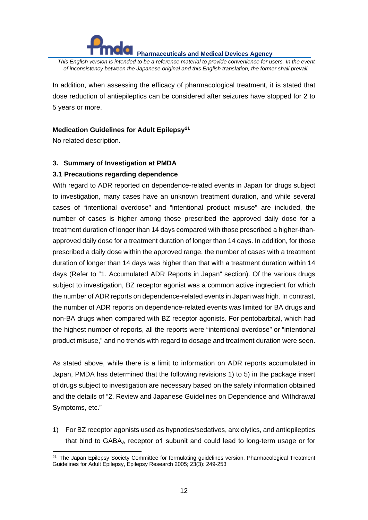*This English version is intended to be a reference material to provide convenience for users. In the event of inconsistency between the Japanese original and this English translation, the former shall prevail.*

In addition, when assessing the efficacy of pharmacological treatment, it is stated that dose reduction of antiepileptics can be considered after seizures have stopped for 2 to 5 years or more.

#### **Medication Guidelines for Adult Epilepsy[21](#page-11-0)**

No related description.

#### **3. Summary of Investigation at PMDA**

#### **3.1 Precautions regarding dependence**

With regard to ADR reported on dependence-related events in Japan for drugs subject to investigation, many cases have an unknown treatment duration, and while several cases of "intentional overdose" and "intentional product misuse" are included, the number of cases is higher among those prescribed the approved daily dose for a treatment duration of longer than 14 days compared with those prescribed a higher-thanapproved daily dose for a treatment duration of longer than 14 days. In addition, for those prescribed a daily dose within the approved range, the number of cases with a treatment duration of longer than 14 days was higher than that with a treatment duration within 14 days (Refer to "1. Accumulated ADR Reports in Japan" section). Of the various drugs subject to investigation, BZ receptor agonist was a common active ingredient for which the number of ADR reports on dependence-related events in Japan was high. In contrast, the number of ADR reports on dependence-related events was limited for BA drugs and non-BA drugs when compared with BZ receptor agonists. For pentobarbital, which had the highest number of reports, all the reports were "intentional overdose" or "intentional product misuse," and no trends with regard to dosage and treatment duration were seen.

As stated above, while there is a limit to information on ADR reports accumulated in Japan, PMDA has determined that the following revisions 1) to 5) in the package insert of drugs subject to investigation are necessary based on the safety information obtained and the details of "2. Review and Japanese Guidelines on Dependence and Withdrawal Symptoms, etc."

1) For BZ receptor agonists used as hypnotics/sedatives, anxiolytics, and antiepileptics that bind to GABA<sub>A</sub> receptor  $\alpha$ 1 subunit and could lead to long-term usage or for

<span id="page-11-0"></span><sup>&</sup>lt;sup>21</sup> The Japan Epilepsy Society Committee for formulating guidelines version, Pharmacological Treatment Guidelines for Adult Epilepsy, Epilepsy Research 2005; 23(3): 249-253  $\overline{a}$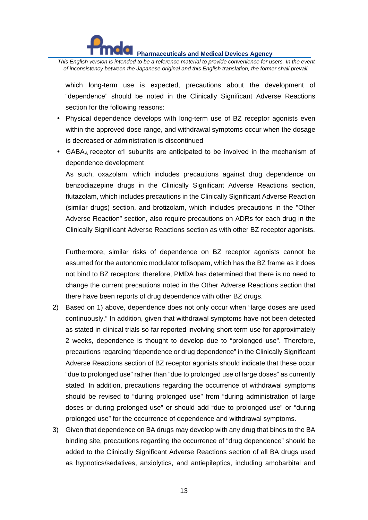

*This English version is intended to be a reference material to provide convenience for users. In the event of inconsistency between the Japanese original and this English translation, the former shall prevail.*

which long-term use is expected, precautions about the development of "dependence" should be noted in the Clinically Significant Adverse Reactions section for the following reasons:

- Physical dependence develops with long-term use of BZ receptor agonists even within the approved dose range, and withdrawal symptoms occur when the dosage is decreased or administration is discontinued
- GABA<sub>A</sub> receptor  $\alpha$ 1 subunits are anticipated to be involved in the mechanism of dependence development

As such, oxazolam, which includes precautions against drug dependence on benzodiazepine drugs in the Clinically Significant Adverse Reactions section, flutazolam, which includes precautions in the Clinically Significant Adverse Reaction (similar drugs) section, and brotizolam, which includes precautions in the "Other Adverse Reaction" section, also require precautions on ADRs for each drug in the Clinically Significant Adverse Reactions section as with other BZ receptor agonists.

Furthermore, similar risks of dependence on BZ receptor agonists cannot be assumed for the autonomic modulator tofisopam, which has the BZ frame as it does not bind to BZ receptors; therefore, PMDA has determined that there is no need to change the current precautions noted in the Other Adverse Reactions section that there have been reports of drug dependence with other BZ drugs.

- 2) Based on 1) above, dependence does not only occur when "large doses are used continuously." In addition, given that withdrawal symptoms have not been detected as stated in clinical trials so far reported involving short-term use for approximately 2 weeks, dependence is thought to develop due to "prolonged use". Therefore, precautions regarding "dependence or drug dependence" in the Clinically Significant Adverse Reactions section of BZ receptor agonists should indicate that these occur "due to prolonged use" rather than "due to prolonged use of large doses" as currently stated. In addition, precautions regarding the occurrence of withdrawal symptoms should be revised to "during prolonged use" from "during administration of large doses or during prolonged use" or should add "due to prolonged use" or "during prolonged use" for the occurrence of dependence and withdrawal symptoms.
- 3) Given that dependence on BA drugs may develop with any drug that binds to the BA binding site, precautions regarding the occurrence of "drug dependence" should be added to the Clinically Significant Adverse Reactions section of all BA drugs used as hypnotics/sedatives, anxiolytics, and antiepileptics, including amobarbital and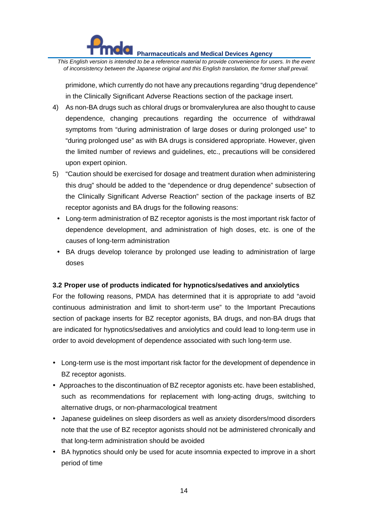*This English version is intended to be a reference material to provide convenience for users. In the event of inconsistency between the Japanese original and this English translation, the former shall prevail.*

primidone, which currently do not have any precautions regarding "drug dependence" in the Clinically Significant Adverse Reactions section of the package insert.

- 4) As non-BA drugs such as chloral drugs or bromvalerylurea are also thought to cause dependence, changing precautions regarding the occurrence of withdrawal symptoms from "during administration of large doses or during prolonged use" to "during prolonged use" as with BA drugs is considered appropriate. However, given the limited number of reviews and guidelines, etc., precautions will be considered upon expert opinion.
- 5) "Caution should be exercised for dosage and treatment duration when administering this drug" should be added to the "dependence or drug dependence" subsection of the Clinically Significant Adverse Reaction" section of the package inserts of BZ receptor agonists and BA drugs for the following reasons:
	- Long-term administration of BZ receptor agonists is the most important risk factor of dependence development, and administration of high doses, etc. is one of the causes of long-term administration
	- BA drugs develop tolerance by prolonged use leading to administration of large doses

# **3.2 Proper use of products indicated for hypnotics/sedatives and anxiolytics**

For the following reasons, PMDA has determined that it is appropriate to add "avoid continuous administration and limit to short-term use" to the Important Precautions section of package inserts for BZ receptor agonists, BA drugs, and non-BA drugs that are indicated for hypnotics/sedatives and anxiolytics and could lead to long-term use in order to avoid development of dependence associated with such long-term use.

- Long-term use is the most important risk factor for the development of dependence in BZ receptor agonists.
- Approaches to the discontinuation of BZ receptor agonists etc. have been established, such as recommendations for replacement with long-acting drugs, switching to alternative drugs, or non-pharmacological treatment
- Japanese guidelines on sleep disorders as well as anxiety disorders/mood disorders note that the use of BZ receptor agonists should not be administered chronically and that long-term administration should be avoided
- BA hypnotics should only be used for acute insomnia expected to improve in a short period of time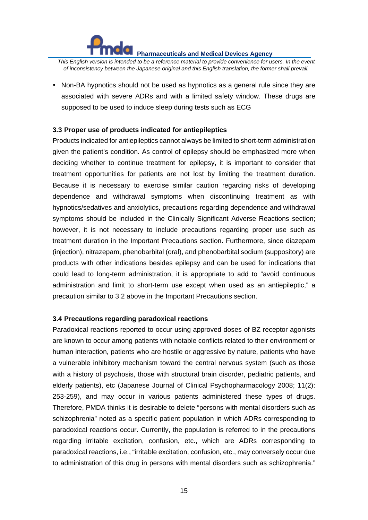

*This English version is intended to be a reference material to provide convenience for users. In the event of inconsistency between the Japanese original and this English translation, the former shall prevail.*

• Non-BA hypnotics should not be used as hypnotics as a general rule since they are associated with severe ADRs and with a limited safety window. These drugs are supposed to be used to induce sleep during tests such as ECG

#### **3.3 Proper use of products indicated for antiepileptics**

Products indicated for antiepileptics cannot always be limited to short-term administration given the patient's condition. As control of epilepsy should be emphasized more when deciding whether to continue treatment for epilepsy, it is important to consider that treatment opportunities for patients are not lost by limiting the treatment duration. Because it is necessary to exercise similar caution regarding risks of developing dependence and withdrawal symptoms when discontinuing treatment as with hypnotics/sedatives and anxiolytics, precautions regarding dependence and withdrawal symptoms should be included in the Clinically Significant Adverse Reactions section; however, it is not necessary to include precautions regarding proper use such as treatment duration in the Important Precautions section. Furthermore, since diazepam (injection), nitrazepam, phenobarbital (oral), and phenobarbital sodium (suppository) are products with other indications besides epilepsy and can be used for indications that could lead to long-term administration, it is appropriate to add to "avoid continuous administration and limit to short-term use except when used as an antiepileptic," a precaution similar to 3.2 above in the Important Precautions section.

#### **3.4 Precautions regarding paradoxical reactions**

Paradoxical reactions reported to occur using approved doses of BZ receptor agonists are known to occur among patients with notable conflicts related to their environment or human interaction, patients who are hostile or aggressive by nature, patients who have a vulnerable inhibitory mechanism toward the central nervous system (such as those with a history of psychosis, those with structural brain disorder, pediatric patients, and elderly patients), etc (Japanese Journal of Clinical Psychopharmacology 2008; 11(2): 253-259), and may occur in various patients administered these types of drugs. Therefore, PMDA thinks it is desirable to delete "persons with mental disorders such as schizophrenia" noted as a specific patient population in which ADRs corresponding to paradoxical reactions occur. Currently, the population is referred to in the precautions regarding irritable excitation, confusion, etc., which are ADRs corresponding to paradoxical reactions, i.e., "irritable excitation, confusion, etc., may conversely occur due to administration of this drug in persons with mental disorders such as schizophrenia."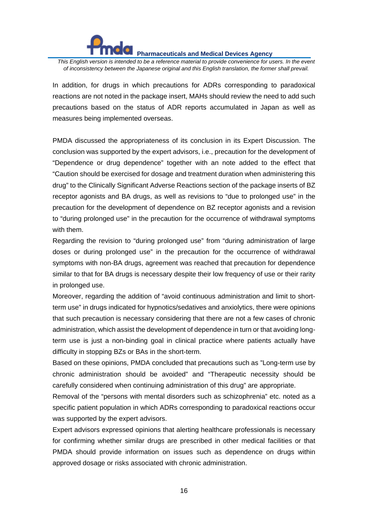*This English version is intended to be a reference material to provide convenience for users. In the event of inconsistency between the Japanese original and this English translation, the former shall prevail.*

In addition, for drugs in which precautions for ADRs corresponding to paradoxical reactions are not noted in the package insert, MAHs should review the need to add such precautions based on the status of ADR reports accumulated in Japan as well as measures being implemented overseas.

PMDA discussed the appropriateness of its conclusion in its Expert Discussion. The conclusion was supported by the expert advisors, i.e., precaution for the development of "Dependence or drug dependence" together with an note added to the effect that "Caution should be exercised for dosage and treatment duration when administering this drug" to the Clinically Significant Adverse Reactions section of the package inserts of BZ receptor agonists and BA drugs, as well as revisions to "due to prolonged use" in the precaution for the development of dependence on BZ receptor agonists and a revision to "during prolonged use" in the precaution for the occurrence of withdrawal symptoms with them.

Regarding the revision to "during prolonged use" from "during administration of large doses or during prolonged use" in the precaution for the occurrence of withdrawal symptoms with non-BA drugs, agreement was reached that precaution for dependence similar to that for BA drugs is necessary despite their low frequency of use or their rarity in prolonged use.

Moreover, regarding the addition of "avoid continuous administration and limit to shortterm use" in drugs indicated for hypnotics/sedatives and anxiolytics, there were opinions that such precaution is necessary considering that there are not a few cases of chronic administration, which assist the development of dependence in turn or that avoiding longterm use is just a non-binding goal in clinical practice where patients actually have difficulty in stopping BZs or BAs in the short-term.

Based on these opinions, PMDA concluded that precautions such as "Long-term use by chronic administration should be avoided" and "Therapeutic necessity should be carefully considered when continuing administration of this drug" are appropriate.

Removal of the "persons with mental disorders such as schizophrenia" etc. noted as a specific patient population in which ADRs corresponding to paradoxical reactions occur was supported by the expert advisors.

Expert advisors expressed opinions that alerting healthcare professionals is necessary for confirming whether similar drugs are prescribed in other medical facilities or that PMDA should provide information on issues such as dependence on drugs within approved dosage or risks associated with chronic administration.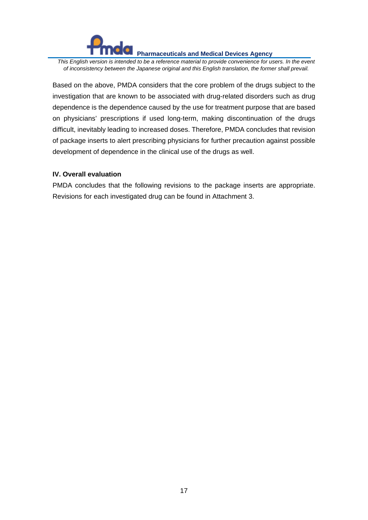*This English version is intended to be a reference material to provide convenience for users. In the event of inconsistency between the Japanese original and this English translation, the former shall prevail.*

Based on the above, PMDA considers that the core problem of the drugs subject to the investigation that are known to be associated with drug-related disorders such as drug dependence is the dependence caused by the use for treatment purpose that are based on physicians' prescriptions if used long-term, making discontinuation of the drugs difficult, inevitably leading to increased doses. Therefore, PMDA concludes that revision of package inserts to alert prescribing physicians for further precaution against possible development of dependence in the clinical use of the drugs as well.

#### **IV. Overall evaluation**

PMDA concludes that the following revisions to the package inserts are appropriate. Revisions for each investigated drug can be found in Attachment 3.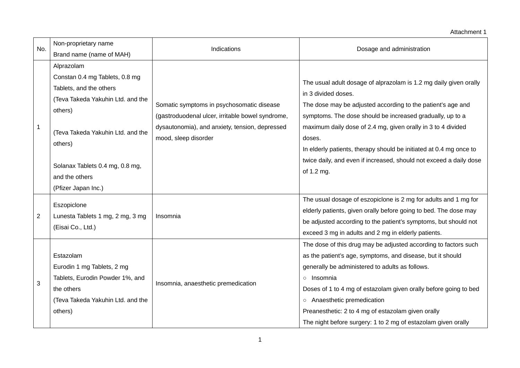#### Attachment 1

| No.            | Non-proprietary name              | Indications                                                            | Dosage and administration                                                                                                                |
|----------------|-----------------------------------|------------------------------------------------------------------------|------------------------------------------------------------------------------------------------------------------------------------------|
|                | Brand name (name of MAH)          |                                                                        |                                                                                                                                          |
|                | Alprazolam                        |                                                                        |                                                                                                                                          |
|                | Constan 0.4 mg Tablets, 0.8 mg    |                                                                        | The usual adult dosage of alprazolam is 1.2 mg daily given orally                                                                        |
|                | Tablets, and the others           |                                                                        | in 3 divided doses.                                                                                                                      |
|                | (Teva Takeda Yakuhin Ltd. and the | Somatic symptoms in psychosomatic disease                              | The dose may be adjusted according to the patient's age and                                                                              |
|                | others)                           | (gastroduodenal ulcer, irritable bowel syndrome,                       | symptoms. The dose should be increased gradually, up to a                                                                                |
| $\mathbf 1$    |                                   |                                                                        | maximum daily dose of 2.4 mg, given orally in 3 to 4 divided                                                                             |
|                | (Teva Takeda Yakuhin Ltd. and the | dysautonomia), and anxiety, tension, depressed<br>mood, sleep disorder | doses.                                                                                                                                   |
|                | others)                           |                                                                        |                                                                                                                                          |
|                |                                   |                                                                        | In elderly patients, therapy should be initiated at 0.4 mg once to<br>twice daily, and even if increased, should not exceed a daily dose |
|                | Solanax Tablets 0.4 mg, 0.8 mg,   |                                                                        |                                                                                                                                          |
|                | and the others                    |                                                                        | of 1.2 mg.                                                                                                                               |
|                | (Pfizer Japan Inc.)               |                                                                        |                                                                                                                                          |
|                | Eszopiclone                       |                                                                        | The usual dosage of eszopiclone is 2 mg for adults and 1 mg for                                                                          |
| $\overline{2}$ | Lunesta Tablets 1 mg, 2 mg, 3 mg  | Insomnia                                                               | elderly patients, given orally before going to bed. The dose may                                                                         |
|                | (Eisai Co., Ltd.)                 |                                                                        | be adjusted according to the patient's symptoms, but should not                                                                          |
|                |                                   |                                                                        | exceed 3 mg in adults and 2 mg in elderly patients.                                                                                      |
|                |                                   |                                                                        | The dose of this drug may be adjusted according to factors such                                                                          |
|                | Estazolam                         |                                                                        | as the patient's age, symptoms, and disease, but it should                                                                               |
|                | Eurodin 1 mg Tablets, 2 mg        |                                                                        | generally be administered to adults as follows.                                                                                          |
|                | Tablets, Eurodin Powder 1%, and   |                                                                        | o Insomnia                                                                                                                               |
| 3              | the others                        | Insomnia, anaesthetic premedication                                    | Doses of 1 to 4 mg of estazolam given orally before going to bed                                                                         |
|                | (Teva Takeda Yakuhin Ltd. and the |                                                                        | o Anaesthetic premedication                                                                                                              |
|                | others)                           |                                                                        | Preanesthetic: 2 to 4 mg of estazolam given orally                                                                                       |
|                |                                   |                                                                        | The night before surgery: 1 to 2 mg of estazolam given orally                                                                            |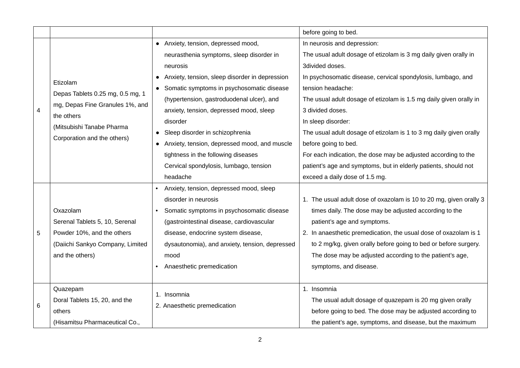|   |                                                                     |                                                             | before going to bed.                                               |
|---|---------------------------------------------------------------------|-------------------------------------------------------------|--------------------------------------------------------------------|
|   |                                                                     | • Anxiety, tension, depressed mood,                         | In neurosis and depression:                                        |
|   |                                                                     | neurasthenia symptoms, sleep disorder in                    | The usual adult dosage of etizolam is 3 mg daily given orally in   |
|   |                                                                     | neurosis                                                    | 3divided doses.                                                    |
|   | Etizolam                                                            | Anxiety, tension, sleep disorder in depression<br>$\bullet$ | In psychosomatic disease, cervical spondylosis, lumbago, and       |
|   |                                                                     | • Somatic symptoms in psychosomatic disease                 | tension headache:                                                  |
|   | Depas Tablets 0.25 mg, 0.5 mg, 1<br>mg, Depas Fine Granules 1%, and | (hypertension, gastroduodenal ulcer), and                   | The usual adult dosage of etizolam is 1.5 mg daily given orally in |
| 4 | the others                                                          | anxiety, tension, depressed mood, sleep                     | 3 divided doses.                                                   |
|   | (Mitsubishi Tanabe Pharma                                           | disorder                                                    | In sleep disorder:                                                 |
|   |                                                                     | Sleep disorder in schizophrenia                             | The usual adult dosage of etizolam is 1 to 3 mg daily given orally |
|   | Corporation and the others)                                         | Anxiety, tension, depressed mood, and muscle<br>$\bullet$   | before going to bed.                                               |
|   |                                                                     | tightness in the following diseases                         | For each indication, the dose may be adjusted according to the     |
|   |                                                                     | Cervical spondylosis, lumbago, tension                      | patient's age and symptoms, but in elderly patients, should not    |
|   |                                                                     | headache                                                    | exceed a daily dose of 1.5 mg.                                     |
|   |                                                                     | Anxiety, tension, depressed mood, sleep                     |                                                                    |
|   |                                                                     | disorder in neurosis                                        | 1. The usual adult dose of oxazolam is 10 to 20 mg, given orally 3 |
|   | Oxazolam                                                            | Somatic symptoms in psychosomatic disease                   | times daily. The dose may be adjusted according to the             |
|   | Serenal Tablets 5, 10, Serenal                                      | (gastrointestinal disease, cardiovascular                   | patient's age and symptoms.                                        |
| 5 | Powder 10%, and the others                                          | disease, endocrine system disease,                          | 2. In anaesthetic premedication, the usual dose of oxazolam is 1   |
|   | (Daiichi Sankyo Company, Limited                                    | dysautonomia), and anxiety, tension, depressed              | to 2 mg/kg, given orally before going to bed or before surgery.    |
|   | and the others)                                                     | mood                                                        | The dose may be adjusted according to the patient's age,           |
|   |                                                                     | Anaesthetic premedication                                   | symptoms, and disease.                                             |
|   |                                                                     |                                                             |                                                                    |
|   | Quazepam                                                            | 1. Insomnia                                                 | 1. Insomnia                                                        |
|   | Doral Tablets 15, 20, and the                                       | 2. Anaesthetic premedication                                | The usual adult dosage of quazepam is 20 mg given orally           |
| 6 | others                                                              |                                                             | before going to bed. The dose may be adjusted according to         |
|   | (Hisamitsu Pharmaceutical Co.,                                      |                                                             | the patient's age, symptoms, and disease, but the maximum          |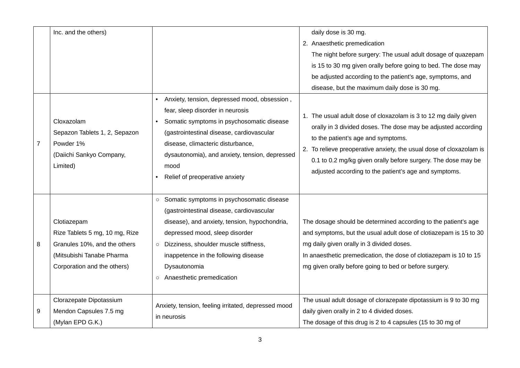|                | Inc. and the others)                                                                                                                      |                                                                                                                                                                                                                                                                                                                                          | daily dose is 30 mg.<br>2. Anaesthetic premedication<br>The night before surgery: The usual adult dosage of quazepam<br>is 15 to 30 mg given orally before going to bed. The dose may<br>be adjusted according to the patient's age, symptoms, and<br>disease, but the maximum daily dose is 30 mg.                                                                     |
|----------------|-------------------------------------------------------------------------------------------------------------------------------------------|------------------------------------------------------------------------------------------------------------------------------------------------------------------------------------------------------------------------------------------------------------------------------------------------------------------------------------------|-------------------------------------------------------------------------------------------------------------------------------------------------------------------------------------------------------------------------------------------------------------------------------------------------------------------------------------------------------------------------|
| $\overline{7}$ | Cloxazolam<br>Sepazon Tablets 1, 2, Sepazon<br>Powder 1%<br>(Daiichi Sankyo Company,<br>Limited)                                          | Anxiety, tension, depressed mood, obsession,<br>fear, sleep disorder in neurosis<br>Somatic symptoms in psychosomatic disease<br>(gastrointestinal disease, cardiovascular<br>disease, climacteric disturbance,<br>dysautonomia), and anxiety, tension, depressed<br>mood<br>Relief of preoperative anxiety                              | 1. The usual adult dose of cloxazolam is 3 to 12 mg daily given<br>orally in 3 divided doses. The dose may be adjusted according<br>to the patient's age and symptoms.<br>2. To relieve preoperative anxiety, the usual dose of cloxazolam is<br>0.1 to 0.2 mg/kg given orally before surgery. The dose may be<br>adjusted according to the patient's age and symptoms. |
| 8              | Clotiazepam<br>Rize Tablets 5 mg, 10 mg, Rize<br>Granules 10%, and the others<br>(Mitsubishi Tanabe Pharma<br>Corporation and the others) | Somatic symptoms in psychosomatic disease<br>$\circ$<br>(gastrointestinal disease, cardiovascular<br>disease), and anxiety, tension, hypochondria,<br>depressed mood, sleep disorder<br>Dizziness, shoulder muscle stiffness,<br>$\circ$<br>inappetence in the following disease<br>Dysautonomia<br>Anaesthetic premedication<br>$\circ$ | The dosage should be determined according to the patient's age<br>and symptoms, but the usual adult dose of clotiazepam is 15 to 30<br>mg daily given orally in 3 divided doses.<br>In anaesthetic premedication, the dose of clotiazepam is 10 to 15<br>mg given orally before going to bed or before surgery.                                                         |
| 9              | Clorazepate Dipotassium<br>Mendon Capsules 7.5 mg<br>(Mylan EPD G.K.)                                                                     | Anxiety, tension, feeling irritated, depressed mood<br>in neurosis                                                                                                                                                                                                                                                                       | The usual adult dosage of clorazepate dipotassium is 9 to 30 mg<br>daily given orally in 2 to 4 divided doses.<br>The dosage of this drug is 2 to 4 capsules (15 to 30 mg of                                                                                                                                                                                            |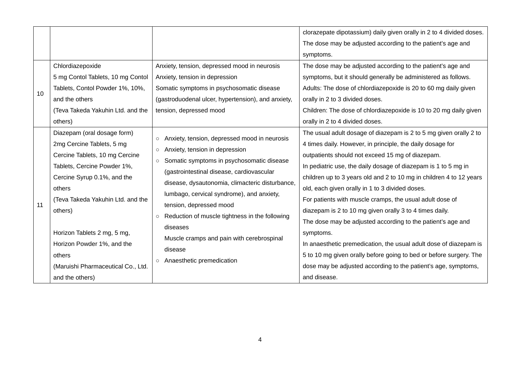|    |                                                                                                                              |                                                                                                                                                                                                                                                                                       | clorazepate dipotassium) daily given orally in 2 to 4 divided doses.                                                                                                                                                                                                                                  |
|----|------------------------------------------------------------------------------------------------------------------------------|---------------------------------------------------------------------------------------------------------------------------------------------------------------------------------------------------------------------------------------------------------------------------------------|-------------------------------------------------------------------------------------------------------------------------------------------------------------------------------------------------------------------------------------------------------------------------------------------------------|
|    |                                                                                                                              |                                                                                                                                                                                                                                                                                       | The dose may be adjusted according to the patient's age and                                                                                                                                                                                                                                           |
|    |                                                                                                                              |                                                                                                                                                                                                                                                                                       | symptoms.                                                                                                                                                                                                                                                                                             |
|    | Chlordiazepoxide                                                                                                             | Anxiety, tension, depressed mood in neurosis                                                                                                                                                                                                                                          | The dose may be adjusted according to the patient's age and                                                                                                                                                                                                                                           |
|    | 5 mg Contol Tablets, 10 mg Contol                                                                                            | Anxiety, tension in depression                                                                                                                                                                                                                                                        | symptoms, but it should generally be administered as follows.                                                                                                                                                                                                                                         |
| 10 | Tablets, Contol Powder 1%, 10%,                                                                                              | Somatic symptoms in psychosomatic disease                                                                                                                                                                                                                                             | Adults: The dose of chlordiazepoxide is 20 to 60 mg daily given                                                                                                                                                                                                                                       |
|    | and the others                                                                                                               | (gastroduodenal ulcer, hypertension), and anxiety,                                                                                                                                                                                                                                    | orally in 2 to 3 divided doses.                                                                                                                                                                                                                                                                       |
|    | (Teva Takeda Yakuhin Ltd. and the                                                                                            | tension, depressed mood                                                                                                                                                                                                                                                               | Children: The dose of chlordiazepoxide is 10 to 20 mg daily given                                                                                                                                                                                                                                     |
|    | others)                                                                                                                      |                                                                                                                                                                                                                                                                                       | orally in 2 to 4 divided doses.                                                                                                                                                                                                                                                                       |
|    | Diazepam (oral dosage form)<br>2mg Cercine Tablets, 5 mg<br>Cercine Tablets, 10 mg Cercine<br>Tablets, Cercine Powder 1%,    | Anxiety, tension, depressed mood in neurosis<br>$\circ$<br>Anxiety, tension in depression<br>$\circ$<br>Somatic symptoms in psychosomatic disease<br>$\circ$<br>(gastrointestinal disease, cardiovascular                                                                             | The usual adult dosage of diazepam is 2 to 5 mg given orally 2 to<br>4 times daily. However, in principle, the daily dosage for<br>outpatients should not exceed 15 mg of diazepam.<br>In pediatric use, the daily dosage of diazepam is 1 to 5 mg in                                                 |
| 11 | Cercine Syrup 0.1%, and the<br>others<br>(Teva Takeda Yakuhin Ltd. and the<br>others)                                        | disease, dysautonomia, climacteric disturbance,<br>lumbago, cervical syndrome), and anxiety,<br>tension, depressed mood<br>Reduction of muscle tightness in the following<br>$\circ$<br>diseases<br>Muscle cramps and pain with cerebrospinal<br>disease<br>Anaesthetic premedication | children up to 3 years old and 2 to 10 mg in children 4 to 12 years<br>old, each given orally in 1 to 3 divided doses.<br>For patients with muscle cramps, the usual adult dose of<br>diazepam is 2 to 10 mg given orally 3 to 4 times daily.                                                         |
|    | Horizon Tablets 2 mg, 5 mg,<br>Horizon Powder 1%, and the<br>others<br>(Maruishi Pharmaceutical Co., Ltd.<br>and the others) |                                                                                                                                                                                                                                                                                       | The dose may be adjusted according to the patient's age and<br>symptoms.<br>In anaesthetic premedication, the usual adult dose of diazepam is<br>5 to 10 mg given orally before going to bed or before surgery. The<br>dose may be adjusted according to the patient's age, symptoms,<br>and disease. |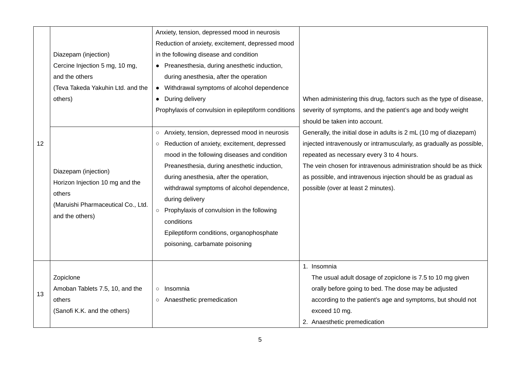|    | Diazepam (injection)<br>Cercine Injection 5 mg, 10 mg,<br>and the others                                                   | Anxiety, tension, depressed mood in neurosis<br>Reduction of anxiety, excitement, depressed mood<br>in the following disease and condition<br>• Preanesthesia, during anesthetic induction,<br>during anesthesia, after the operation                                                                                                                                                                                                                                             |                                                                                                                                                                                                                                                                                                                                                                      |
|----|----------------------------------------------------------------------------------------------------------------------------|-----------------------------------------------------------------------------------------------------------------------------------------------------------------------------------------------------------------------------------------------------------------------------------------------------------------------------------------------------------------------------------------------------------------------------------------------------------------------------------|----------------------------------------------------------------------------------------------------------------------------------------------------------------------------------------------------------------------------------------------------------------------------------------------------------------------------------------------------------------------|
|    | (Teva Takeda Yakuhin Ltd. and the<br>others)                                                                               | • Withdrawal symptoms of alcohol dependence<br>During delivery<br>Prophylaxis of convulsion in epileptiform conditions                                                                                                                                                                                                                                                                                                                                                            | When administering this drug, factors such as the type of disease,<br>severity of symptoms, and the patient's age and body weight<br>should be taken into account.                                                                                                                                                                                                   |
| 12 | Diazepam (injection)<br>Horizon Injection 10 mg and the<br>others<br>(Maruishi Pharmaceutical Co., Ltd.<br>and the others) | Anxiety, tension, depressed mood in neurosis<br>$\circ$<br>Reduction of anxiety, excitement, depressed<br>$\circ$<br>mood in the following diseases and condition<br>Preanesthesia, during anesthetic induction,<br>during anesthesia, after the operation,<br>withdrawal symptoms of alcohol dependence,<br>during delivery<br>Prophylaxis of convulsion in the following<br>$\circ$<br>conditions<br>Epileptiform conditions, organophosphate<br>poisoning, carbamate poisoning | Generally, the initial dose in adults is 2 mL (10 mg of diazepam)<br>injected intravenously or intramuscularly, as gradually as possible,<br>repeated as necessary every 3 to 4 hours.<br>The vein chosen for intravenous administration should be as thick<br>as possible, and intravenous injection should be as gradual as<br>possible (over at least 2 minutes). |
| 13 | Zopiclone<br>Amoban Tablets 7.5, 10, and the<br>others<br>(Sanofi K.K. and the others)                                     | Insomnia<br>$\circ$<br>Anaesthetic premedication<br>$\circ$                                                                                                                                                                                                                                                                                                                                                                                                                       | 1. Insomnia<br>The usual adult dosage of zopiclone is 7.5 to 10 mg given<br>orally before going to bed. The dose may be adjusted<br>according to the patient's age and symptoms, but should not<br>exceed 10 mg.<br>2. Anaesthetic premedication                                                                                                                     |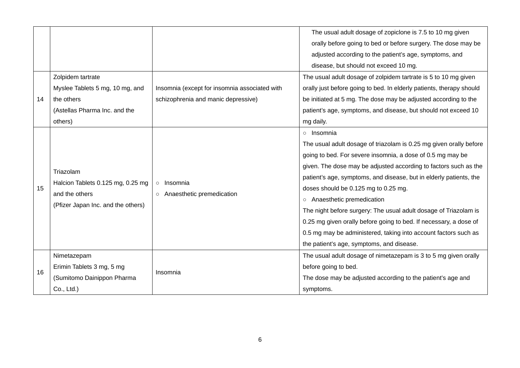|    |                                    |                                               | The usual adult dosage of zopiclone is 7.5 to 10 mg given            |
|----|------------------------------------|-----------------------------------------------|----------------------------------------------------------------------|
|    |                                    |                                               | orally before going to bed or before surgery. The dose may be        |
|    |                                    |                                               | adjusted according to the patient's age, symptoms, and               |
|    |                                    |                                               | disease, but should not exceed 10 mg.                                |
|    | Zolpidem tartrate                  |                                               | The usual adult dosage of zolpidem tartrate is 5 to 10 mg given      |
|    | Myslee Tablets 5 mg, 10 mg, and    | Insomnia (except for insomnia associated with | orally just before going to bed. In elderly patients, therapy should |
| 14 | the others                         | schizophrenia and manic depressive)           | be initiated at 5 mg. The dose may be adjusted according to the      |
|    | (Astellas Pharma Inc. and the      |                                               | patient's age, symptoms, and disease, but should not exceed 10       |
|    | others)                            |                                               | mg daily.                                                            |
|    |                                    |                                               | o Insomnia                                                           |
|    |                                    |                                               | The usual adult dosage of triazolam is 0.25 mg given orally before   |
|    |                                    |                                               | going to bed. For severe insomnia, a dose of 0.5 mg may be           |
|    |                                    |                                               | given. The dose may be adjusted according to factors such as the     |
|    | Triazolam                          |                                               | patient's age, symptoms, and disease, but in elderly patients, the   |
| 15 | Halcion Tablets 0.125 mg, 0.25 mg  | Insomnia<br>$\circ$                           | doses should be 0.125 mg to 0.25 mg.                                 |
|    | and the others                     | ○ Anaesthetic premedication                   | o Anaesthetic premedication                                          |
|    | (Pfizer Japan Inc. and the others) |                                               | The night before surgery: The usual adult dosage of Triazolam is     |
|    |                                    |                                               | 0.25 mg given orally before going to bed. If necessary, a dose of    |
|    |                                    |                                               | 0.5 mg may be administered, taking into account factors such as      |
|    |                                    |                                               | the patient's age, symptoms, and disease.                            |
|    | Nimetazepam                        |                                               | The usual adult dosage of nimetazepam is 3 to 5 mg given orally      |
|    | Erimin Tablets 3 mg, 5 mg          |                                               | before going to bed.                                                 |
| 16 | (Sumitomo Dainippon Pharma         | Insomnia                                      | The dose may be adjusted according to the patient's age and          |
|    | Co., Ltd.)                         |                                               | symptoms.                                                            |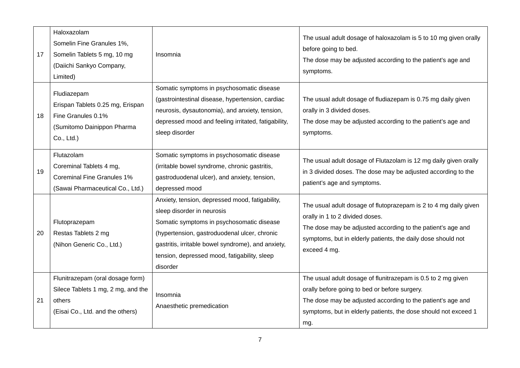| 17 | Haloxazolam<br>Somelin Fine Granules 1%,<br>Somelin Tablets 5 mg, 10 mg<br>(Daiichi Sankyo Company,<br>Limited)      | Insomnia                                                                                                                                                                                                                                                                                     | The usual adult dosage of haloxazolam is 5 to 10 mg given orally<br>before going to bed.<br>The dose may be adjusted according to the patient's age and<br>symptoms.                                                                                   |
|----|----------------------------------------------------------------------------------------------------------------------|----------------------------------------------------------------------------------------------------------------------------------------------------------------------------------------------------------------------------------------------------------------------------------------------|--------------------------------------------------------------------------------------------------------------------------------------------------------------------------------------------------------------------------------------------------------|
| 18 | Fludiazepam<br>Erispan Tablets 0.25 mg, Erispan<br>Fine Granules 0.1%<br>(Sumitomo Dainippon Pharma<br>Co., Ltd.)    | Somatic symptoms in psychosomatic disease<br>(gastrointestinal disease, hypertension, cardiac<br>neurosis, dysautonomia), and anxiety, tension,<br>depressed mood and feeling irritated, fatigability,<br>sleep disorder                                                                     | The usual adult dosage of fludiazepam is 0.75 mg daily given<br>orally in 3 divided doses.<br>The dose may be adjusted according to the patient's age and<br>symptoms.                                                                                 |
| 19 | Flutazolam<br>Coreminal Tablets 4 mg,<br><b>Coreminal Fine Granules 1%</b><br>(Sawai Pharmaceutical Co., Ltd.)       | Somatic symptoms in psychosomatic disease<br>(irritable bowel syndrome, chronic gastritis,<br>gastroduodenal ulcer), and anxiety, tension,<br>depressed mood                                                                                                                                 | The usual adult dosage of Flutazolam is 12 mg daily given orally<br>in 3 divided doses. The dose may be adjusted according to the<br>patient's age and symptoms.                                                                                       |
| 20 | Flutoprazepam<br>Restas Tablets 2 mg<br>(Nihon Generic Co., Ltd.)                                                    | Anxiety, tension, depressed mood, fatigability,<br>sleep disorder in neurosis<br>Somatic symptoms in psychosomatic disease<br>(hypertension, gastroduodenal ulcer, chronic<br>gastritis, irritable bowel syndrome), and anxiety,<br>tension, depressed mood, fatigability, sleep<br>disorder | The usual adult dosage of flutoprazepam is 2 to 4 mg daily given<br>orally in 1 to 2 divided doses.<br>The dose may be adjusted according to the patient's age and<br>symptoms, but in elderly patients, the daily dose should not<br>exceed 4 mg.     |
| 21 | Flunitrazepam (oral dosage form)<br>Silece Tablets 1 mg, 2 mg, and the<br>others<br>(Eisai Co., Ltd. and the others) | Insomnia<br>Anaesthetic premedication                                                                                                                                                                                                                                                        | The usual adult dosage of flunitrazepam is 0.5 to 2 mg given<br>orally before going to bed or before surgery.<br>The dose may be adjusted according to the patient's age and<br>symptoms, but in elderly patients, the dose should not exceed 1<br>mg. |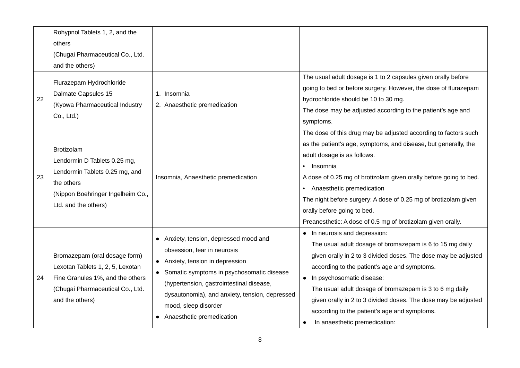|    | Rohypnol Tablets 1, 2, and the               |                                                                        |                                                                   |
|----|----------------------------------------------|------------------------------------------------------------------------|-------------------------------------------------------------------|
|    | others                                       |                                                                        |                                                                   |
|    | (Chugai Pharmaceutical Co., Ltd.             |                                                                        |                                                                   |
|    | and the others)                              |                                                                        |                                                                   |
|    | Flurazepam Hydrochloride                     |                                                                        | The usual adult dosage is 1 to 2 capsules given orally before     |
|    | Dalmate Capsules 15                          | 1. Insomnia                                                            | going to bed or before surgery. However, the dose of flurazepam   |
| 22 | (Kyowa Pharmaceutical Industry               | 2. Anaesthetic premedication                                           | hydrochloride should be 10 to 30 mg.                              |
|    | Co., Ltd.)                                   |                                                                        | The dose may be adjusted according to the patient's age and       |
|    |                                              |                                                                        | symptoms.                                                         |
|    |                                              |                                                                        | The dose of this drug may be adjusted according to factors such   |
|    | <b>Brotizolam</b>                            |                                                                        | as the patient's age, symptoms, and disease, but generally, the   |
|    |                                              |                                                                        | adult dosage is as follows.                                       |
|    | Lendormin D Tablets 0.25 mg,                 | Insomnia, Anaesthetic premedication                                    | Insomnia<br>$\bullet$                                             |
| 23 | Lendormin Tablets 0.25 mg, and<br>the others |                                                                        | A dose of 0.25 mg of brotizolam given orally before going to bed. |
|    |                                              |                                                                        | Anaesthetic premedication<br>$\bullet$                            |
|    | (Nippon Boehringer Ingelheim Co.,            |                                                                        | The night before surgery: A dose of 0.25 mg of brotizolam given   |
|    | Ltd. and the others)                         |                                                                        | orally before going to bed.                                       |
|    |                                              |                                                                        | Preanesthetic: A dose of 0.5 mg of brotizolam given orally.       |
|    |                                              |                                                                        | • In neurosis and depression:                                     |
|    | Bromazepam (oral dosage form)                | Anxiety, tension, depressed mood and                                   | The usual adult dosage of bromazepam is 6 to 15 mg daily          |
|    |                                              | obsession, fear in neurosis                                            | given orally in 2 to 3 divided doses. The dose may be adjusted    |
|    | Lexotan Tablets 1, 2, 5, Lexotan             | Anxiety, tension in depression<br>$\bullet$                            | according to the patient's age and symptoms.                      |
| 24 | Fine Granules 1%, and the others             | • Somatic symptoms in psychosomatic disease                            | In psychosomatic disease:<br>$\bullet$                            |
|    | (Chugai Pharmaceutical Co., Ltd.             | (hypertension, gastrointestinal disease,                               | The usual adult dosage of bromazepam is 3 to 6 mg daily           |
|    | and the others)                              | dysautonomia), and anxiety, tension, depressed<br>mood, sleep disorder | given orally in 2 to 3 divided doses. The dose may be adjusted    |
|    |                                              |                                                                        | according to the patient's age and symptoms.                      |
|    |                                              | Anaesthetic premedication                                              | In anaesthetic premedication:<br>$\bullet$                        |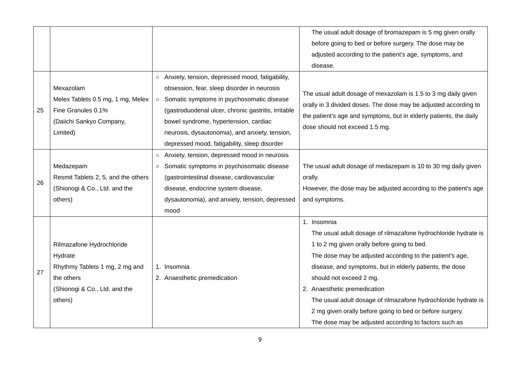|    |                                                                                                                                  |                                                                                                                                                                                                                                                                                                                                                            | The usual adult dosage of bromazepam is 5 mg given orally                                                                                                                                                                                                                                                                                                                                                                                                                                              |
|----|----------------------------------------------------------------------------------------------------------------------------------|------------------------------------------------------------------------------------------------------------------------------------------------------------------------------------------------------------------------------------------------------------------------------------------------------------------------------------------------------------|--------------------------------------------------------------------------------------------------------------------------------------------------------------------------------------------------------------------------------------------------------------------------------------------------------------------------------------------------------------------------------------------------------------------------------------------------------------------------------------------------------|
|    |                                                                                                                                  |                                                                                                                                                                                                                                                                                                                                                            | before going to bed or before surgery. The dose may be                                                                                                                                                                                                                                                                                                                                                                                                                                                 |
|    |                                                                                                                                  |                                                                                                                                                                                                                                                                                                                                                            | adjusted according to the patient's age, symptoms, and                                                                                                                                                                                                                                                                                                                                                                                                                                                 |
|    |                                                                                                                                  |                                                                                                                                                                                                                                                                                                                                                            | disease.                                                                                                                                                                                                                                                                                                                                                                                                                                                                                               |
| 25 | Mexazolam<br>Melex Tablets 0.5 mg, 1 mg, Melex<br>Fine Granules 0.1%<br>(Daiichi Sankyo Company,<br>Limited)                     | ○ Anxiety, tension, depressed mood, fatigability,<br>obsession, fear, sleep disorder in neurosis<br>Somatic symptoms in psychosomatic disease<br>$\circ$<br>(gastroduodenal ulcer, chronic gastritis, irritable<br>bowel syndrome, hypertension, cardiac<br>neurosis, dysautonomia), and anxiety, tension,<br>depressed mood, fatigability, sleep disorder | The usual adult dosage of mexazolam is 1.5 to 3 mg daily given<br>orally in 3 divided doses. The dose may be adjusted according to<br>the patient's age and symptoms, but in elderly patients, the daily<br>dose should not exceed 1.5 mg.                                                                                                                                                                                                                                                             |
| 26 | Medazepam<br>Resmit Tablets 2, 5, and the others<br>(Shionogi & Co., Ltd. and the<br>others)                                     | ○ Anxiety, tension, depressed mood in neurosis<br>Somatic symptoms in psychosomatic disease<br>$\circ$<br>(gastrointestinal disease, cardiovascular<br>disease, endocrine system disease,<br>dysautonomia), and anxiety, tension, depressed<br>mood                                                                                                        | The usual adult dosage of medazepam is 10 to 30 mg daily given<br>orally.<br>However, the dose may be adjusted according to the patient's age<br>and symptoms.                                                                                                                                                                                                                                                                                                                                         |
| 27 | Rilmazafone Hydrochloride<br>Hydrate<br>Rhythmy Tablets 1 mg, 2 mg and<br>the others<br>(Shionogi & Co., Ltd. and the<br>others) | 1. Insomnia<br>2. Anaesthetic premedication                                                                                                                                                                                                                                                                                                                | 1. Insomnia<br>The usual adult dosage of rilmazafone hydrochloride hydrate is<br>1 to 2 mg given orally before going to bed.<br>The dose may be adjusted according to the patient's age,<br>disease, and symptoms, but in elderly patients, the dose<br>should not exceed 2 mg.<br>2. Anaesthetic premedication<br>The usual adult dosage of rilmazafone hydrochloride hydrate is<br>2 mg given orally before going to bed or before surgery.<br>The dose may be adjusted according to factors such as |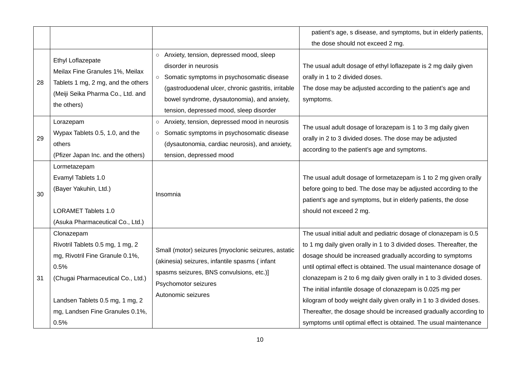|    |                                    |                                                         | patient's age, s disease, and symptoms, but in elderly patients,    |
|----|------------------------------------|---------------------------------------------------------|---------------------------------------------------------------------|
|    |                                    |                                                         | the dose should not exceed 2 mg.                                    |
|    | Ethyl Loflazepate                  | Anxiety, tension, depressed mood, sleep<br>$\circ$      |                                                                     |
|    | Meilax Fine Granules 1%, Meilax    | disorder in neurosis                                    | The usual adult dosage of ethyl loflazepate is 2 mg daily given     |
| 28 | Tablets 1 mg, 2 mg, and the others | Somatic symptoms in psychosomatic disease               | orally in 1 to 2 divided doses.                                     |
|    | (Meiji Seika Pharma Co., Ltd. and  | (gastroduodenal ulcer, chronic gastritis, irritable     | The dose may be adjusted according to the patient's age and         |
|    | the others)                        | bowel syndrome, dysautonomia), and anxiety,             | symptoms.                                                           |
|    |                                    | tension, depressed mood, sleep disorder                 |                                                                     |
|    | Lorazepam                          | Anxiety, tension, depressed mood in neurosis<br>$\circ$ | The usual adult dosage of lorazepam is 1 to 3 mg daily given        |
| 29 | Wypax Tablets 0.5, 1.0, and the    | Somatic symptoms in psychosomatic disease<br>$\circ$    | orally in 2 to 3 divided doses. The dose may be adjusted            |
|    | others                             | (dysautonomia, cardiac neurosis), and anxiety,          | according to the patient's age and symptoms.                        |
|    | (Pfizer Japan Inc. and the others) | tension, depressed mood                                 |                                                                     |
|    | Lormetazepam                       |                                                         |                                                                     |
|    | Evamyl Tablets 1.0                 |                                                         | The usual adult dosage of lormetazepam is 1 to 2 mg given orally    |
| 30 | (Bayer Yakuhin, Ltd.)              | Insomnia                                                | before going to bed. The dose may be adjusted according to the      |
|    |                                    |                                                         | patient's age and symptoms, but in elderly patients, the dose       |
|    | <b>LORAMET Tablets 1.0</b>         |                                                         | should not exceed 2 mg.                                             |
|    | (Asuka Pharmaceutical Co., Ltd.)   |                                                         |                                                                     |
|    | Clonazepam                         |                                                         | The usual initial adult and pediatric dosage of clonazepam is 0.5   |
|    | Rivotril Tablets 0.5 mg, 1 mg, 2   | Small (motor) seizures [myoclonic seizures, astatic     | to 1 mg daily given orally in 1 to 3 divided doses. Thereafter, the |
|    | mg, Rivotril Fine Granule 0.1%,    | (akinesia) seizures, infantile spasms (infant           | dosage should be increased gradually according to symptoms          |
|    | 0.5%                               | spasms seizures, BNS convulsions, etc.)]                | until optimal effect is obtained. The usual maintenance dosage of   |
| 31 | (Chugai Pharmaceutical Co., Ltd.)  | Psychomotor seizures                                    | clonazepam is 2 to 6 mg daily given orally in 1 to 3 divided doses. |
|    |                                    | Autonomic seizures                                      | The initial infantile dosage of clonazepam is 0.025 mg per          |
|    | Landsen Tablets 0.5 mg, 1 mg, 2    |                                                         | kilogram of body weight daily given orally in 1 to 3 divided doses. |
|    | mg, Landsen Fine Granules 0.1%,    |                                                         | Thereafter, the dosage should be increased gradually according to   |
|    | 0.5%                               |                                                         | symptoms until optimal effect is obtained. The usual maintenance    |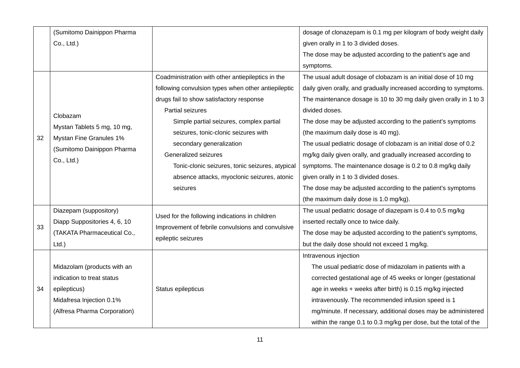|    | (Sumitomo Dainippon Pharma               |                                                     | dosage of clonazepam is 0.1 mg per kilogram of body weight daily   |
|----|------------------------------------------|-----------------------------------------------------|--------------------------------------------------------------------|
|    | Co., Ltd.)                               |                                                     | given orally in 1 to 3 divided doses.                              |
|    |                                          |                                                     | The dose may be adjusted according to the patient's age and        |
|    |                                          |                                                     | symptoms.                                                          |
|    |                                          | Coadministration with other antiepileptics in the   | The usual adult dosage of clobazam is an initial dose of 10 mg     |
|    |                                          | following convulsion types when other antiepileptic | daily given orally, and gradually increased according to symptoms. |
|    |                                          | drugs fail to show satisfactory response            | The maintenance dosage is 10 to 30 mg daily given orally in 1 to 3 |
|    | Clobazam                                 | Partial seizures                                    | divided doses.                                                     |
|    | Mystan Tablets 5 mg, 10 mg,              | Simple partial seizures, complex partial            | The dose may be adjusted according to the patient's symptoms       |
| 32 | Mystan Fine Granules 1%                  | seizures, tonic-clonic seizures with                | (the maximum daily dose is 40 mg).                                 |
|    |                                          | secondary generalization                            | The usual pediatric dosage of clobazam is an initial dose of 0.2   |
|    | (Sumitomo Dainippon Pharma<br>Co., Ltd.) | Generalized seizures                                | mg/kg daily given orally, and gradually increased according to     |
|    |                                          | Tonic-clonic seizures, tonic seizures, atypical     | symptoms. The maintenance dosage is 0.2 to 0.8 mg/kg daily         |
|    |                                          | absence attacks, myoclonic seizures, atonic         | given orally in 1 to 3 divided doses.                              |
|    |                                          | seizures                                            | The dose may be adjusted according to the patient's symptoms       |
|    |                                          |                                                     | (the maximum daily dose is 1.0 mg/kg).                             |
|    | Diazepam (suppository)                   | Used for the following indications in children      | The usual pediatric dosage of diazepam is 0.4 to 0.5 mg/kg         |
| 33 | Diapp Suppositories 4, 6, 10             | Improvement of febrile convulsions and convulsive   | inserted rectally once to twice daily.                             |
|    | (TAKATA Pharmaceutical Co.,              | epileptic seizures                                  | The dose may be adjusted according to the patient's symptoms,      |
|    | Ltd.                                     |                                                     | but the daily dose should not exceed 1 mg/kg.                      |
|    |                                          |                                                     | Intravenous injection                                              |
|    | Midazolam (products with an              |                                                     | The usual pediatric dose of midazolam in patients with a           |
|    | indication to treat status               |                                                     | corrected gestational age of 45 weeks or longer (gestational       |
| 34 | epilepticus)                             | Status epilepticus                                  | age in weeks + weeks after birth) is 0.15 mg/kg injected           |
|    | Midafresa Injection 0.1%                 |                                                     | intravenously. The recommended infusion speed is 1                 |
|    | (Alfresa Pharma Corporation)             |                                                     | mg/minute. If necessary, additional doses may be administered      |
|    |                                          |                                                     | within the range 0.1 to 0.3 mg/kg per dose, but the total of the   |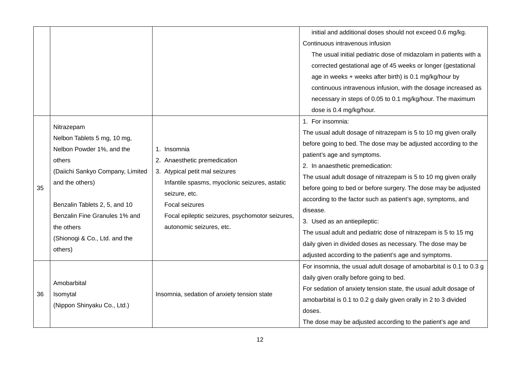|    |                                                                                                                                                                                                                                                                     |                                                                                                                                                                                                                                                  | initial and additional doses should not exceed 0.6 mg/kg.<br>Continuous intravenous infusion<br>The usual initial pediatric dose of midazolam in patients with a<br>corrected gestational age of 45 weeks or longer (gestational<br>age in weeks + weeks after birth) is 0.1 mg/kg/hour by<br>continuous intravenous infusion, with the dosage increased as<br>necessary in steps of 0.05 to 0.1 mg/kg/hour. The maximum<br>dose is 0.4 mg/kg/hour.                                                                                                                                                                                                                 |
|----|---------------------------------------------------------------------------------------------------------------------------------------------------------------------------------------------------------------------------------------------------------------------|--------------------------------------------------------------------------------------------------------------------------------------------------------------------------------------------------------------------------------------------------|---------------------------------------------------------------------------------------------------------------------------------------------------------------------------------------------------------------------------------------------------------------------------------------------------------------------------------------------------------------------------------------------------------------------------------------------------------------------------------------------------------------------------------------------------------------------------------------------------------------------------------------------------------------------|
| 35 | Nitrazepam<br>Nelbon Tablets 5 mg, 10 mg,<br>Nelbon Powder 1%, and the<br>others<br>(Daiichi Sankyo Company, Limited<br>and the others)<br>Benzalin Tablets 2, 5, and 10<br>Benzalin Fine Granules 1% and<br>the others<br>(Shionogi & Co., Ltd. and the<br>others) | 1. Insomnia<br>2. Anaesthetic premedication<br>3. Atypical petit mal seizures<br>Infantile spasms, myoclonic seizures, astatic<br>seizure, etc.<br>Focal seizures<br>Focal epileptic seizures, psychomotor seizures,<br>autonomic seizures, etc. | 1. For insomnia:<br>The usual adult dosage of nitrazepam is 5 to 10 mg given orally<br>before going to bed. The dose may be adjusted according to the<br>patient's age and symptoms.<br>2. In anaesthetic premedication:<br>The usual adult dosage of nitrazepam is 5 to 10 mg given orally<br>before going to bed or before surgery. The dose may be adjusted<br>according to the factor such as patient's age, symptoms, and<br>disease.<br>3. Used as an antiepileptic:<br>The usual adult and pediatric dose of nitrazepam is 5 to 15 mg<br>daily given in divided doses as necessary. The dose may be<br>adjusted according to the patient's age and symptoms. |
| 36 | Amobarbital<br>Isomytal<br>(Nippon Shinyaku Co., Ltd.)                                                                                                                                                                                                              | Insomnia, sedation of anxiety tension state                                                                                                                                                                                                      | For insomnia, the usual adult dosage of amobarbital is 0.1 to 0.3 g<br>daily given orally before going to bed.<br>For sedation of anxiety tension state, the usual adult dosage of<br>amobarbital is 0.1 to 0.2 g daily given orally in 2 to 3 divided<br>doses.<br>The dose may be adjusted according to the patient's age and                                                                                                                                                                                                                                                                                                                                     |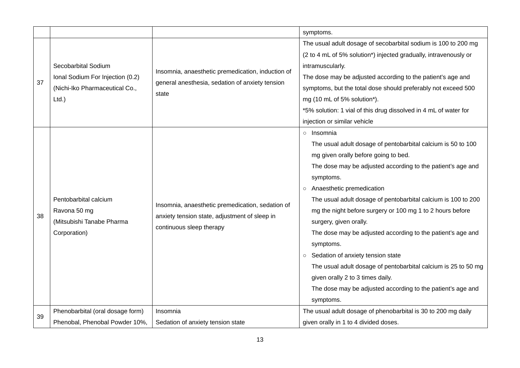|    |                                  |                                                   | symptoms.                                                        |  |  |  |  |
|----|----------------------------------|---------------------------------------------------|------------------------------------------------------------------|--|--|--|--|
|    |                                  |                                                   | The usual adult dosage of secobarbital sodium is 100 to 200 mg   |  |  |  |  |
|    |                                  |                                                   | (2 to 4 mL of 5% solution*) injected gradually, intravenously or |  |  |  |  |
|    | Secobarbital Sodium              |                                                   | intramuscularly.                                                 |  |  |  |  |
| 37 | Ional Sodium For Injection (0.2) | Insomnia, anaesthetic premedication, induction of | The dose may be adjusted according to the patient's age and      |  |  |  |  |
|    | (Nichi-Iko Pharmaceutical Co.,   | general anesthesia, sedation of anxiety tension   | symptoms, but the total dose should preferably not exceed 500    |  |  |  |  |
|    | $Ltd.$ )                         | state                                             | mg (10 mL of 5% solution*).                                      |  |  |  |  |
|    |                                  |                                                   | *5% solution: 1 vial of this drug dissolved in 4 mL of water for |  |  |  |  |
|    |                                  |                                                   | injection or similar vehicle                                     |  |  |  |  |
|    |                                  |                                                   | ○ Insomnia                                                       |  |  |  |  |
|    |                                  |                                                   | The usual adult dosage of pentobarbital calcium is 50 to 100     |  |  |  |  |
|    |                                  |                                                   | mg given orally before going to bed.                             |  |  |  |  |
|    |                                  |                                                   | The dose may be adjusted according to the patient's age and      |  |  |  |  |
|    |                                  |                                                   | symptoms.                                                        |  |  |  |  |
|    |                                  |                                                   | Anaesthetic premedication<br>$\circ$                             |  |  |  |  |
|    | Pentobarbital calcium            | Insomnia, anaesthetic premedication, sedation of  | The usual adult dosage of pentobarbital calcium is 100 to 200    |  |  |  |  |
| 38 | Ravona 50 mg                     | anxiety tension state, adjustment of sleep in     | mg the night before surgery or 100 mg 1 to 2 hours before        |  |  |  |  |
|    | (Mitsubishi Tanabe Pharma        | continuous sleep therapy                          | surgery, given orally.                                           |  |  |  |  |
|    | Corporation)                     |                                                   | The dose may be adjusted according to the patient's age and      |  |  |  |  |
|    |                                  |                                                   | symptoms.                                                        |  |  |  |  |
|    |                                  |                                                   | Sedation of anxiety tension state<br>$\circ$                     |  |  |  |  |
|    |                                  |                                                   | The usual adult dosage of pentobarbital calcium is 25 to 50 mg   |  |  |  |  |
|    |                                  |                                                   | given orally 2 to 3 times daily.                                 |  |  |  |  |
|    |                                  |                                                   | The dose may be adjusted according to the patient's age and      |  |  |  |  |
|    |                                  |                                                   | symptoms.                                                        |  |  |  |  |
|    | Phenobarbital (oral dosage form) | Insomnia                                          | The usual adult dosage of phenobarbital is 30 to 200 mg daily    |  |  |  |  |
| 39 | Phenobal, Phenobal Powder 10%,   | Sedation of anxiety tension state                 | given orally in 1 to 4 divided doses.                            |  |  |  |  |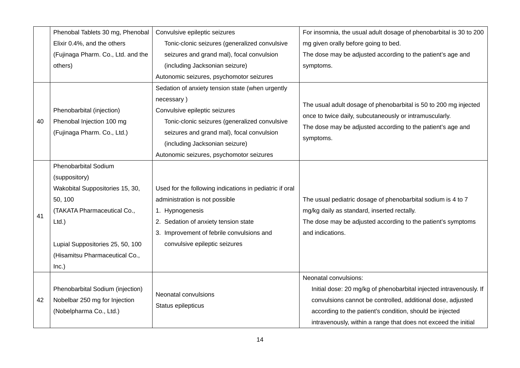|    | Phenobal Tablets 30 mg, Phenobal   | Convulsive epileptic seizures                           | For insomnia, the usual adult dosage of phenobarbital is 30 to 200 |  |  |  |
|----|------------------------------------|---------------------------------------------------------|--------------------------------------------------------------------|--|--|--|
|    | Elixir 0.4%, and the others        | Tonic-clonic seizures (generalized convulsive           | mg given orally before going to bed.                               |  |  |  |
|    | (Fujinaga Pharm. Co., Ltd. and the | seizures and grand mal), focal convulsion               | The dose may be adjusted according to the patient's age and        |  |  |  |
|    | others)                            | (including Jacksonian seizure)                          | symptoms.                                                          |  |  |  |
|    |                                    | Autonomic seizures, psychomotor seizures                |                                                                    |  |  |  |
|    |                                    | Sedation of anxiety tension state (when urgently        |                                                                    |  |  |  |
|    |                                    | necessary)                                              |                                                                    |  |  |  |
| 40 | Phenobarbital (injection)          | Convulsive epileptic seizures                           | The usual adult dosage of phenobarbital is 50 to 200 mg injected   |  |  |  |
|    | Phenobal Injection 100 mg          | Tonic-clonic seizures (generalized convulsive           | once to twice daily, subcutaneously or intramuscularly.            |  |  |  |
|    | (Fujinaga Pharm. Co., Ltd.)        | seizures and grand mal), focal convulsion               | The dose may be adjusted according to the patient's age and        |  |  |  |
|    |                                    | (including Jacksonian seizure)                          | symptoms.                                                          |  |  |  |
|    |                                    | Autonomic seizures, psychomotor seizures                |                                                                    |  |  |  |
|    | <b>Phenobarbital Sodium</b>        |                                                         |                                                                    |  |  |  |
|    | (suppository)                      |                                                         |                                                                    |  |  |  |
|    | Wakobital Suppositories 15, 30,    | Used for the following indications in pediatric if oral |                                                                    |  |  |  |
|    | 50, 100                            | administration is not possible                          | The usual pediatric dosage of phenobarbital sodium is 4 to 7       |  |  |  |
| 41 | (TAKATA Pharmaceutical Co.,        | 1. Hypnogenesis                                         | mg/kg daily as standard, inserted rectally.                        |  |  |  |
|    | $Ltd.$ )                           | 2. Sedation of anxiety tension state                    | The dose may be adjusted according to the patient's symptoms       |  |  |  |
|    |                                    | 3. Improvement of febrile convulsions and               | and indications.                                                   |  |  |  |
|    | Lupial Suppositories 25, 50, 100   | convulsive epileptic seizures                           |                                                                    |  |  |  |
|    | (Hisamitsu Pharmaceutical Co.,     |                                                         |                                                                    |  |  |  |
|    | Inc.)                              |                                                         |                                                                    |  |  |  |
|    |                                    |                                                         | Neonatal convulsions:                                              |  |  |  |
|    | Phenobarbital Sodium (injection)   | Neonatal convulsions                                    | Initial dose: 20 mg/kg of phenobarbital injected intravenously. If |  |  |  |
| 42 | Nobelbar 250 mg for Injection      |                                                         | convulsions cannot be controlled, additional dose, adjusted        |  |  |  |
|    | (Nobelpharma Co., Ltd.)            | Status epilepticus                                      | according to the patient's condition, should be injected           |  |  |  |
|    |                                    |                                                         | intravenously, within a range that does not exceed the initial     |  |  |  |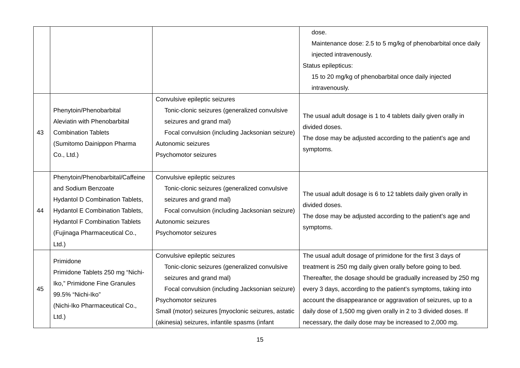|    |                                                                                                                                                                                                                     |                                                                                                                                                                                                                                                                                              | dose.<br>Maintenance dose: 2.5 to 5 mg/kg of phenobarbital once daily<br>injected intravenously.<br>Status epilepticus:<br>15 to 20 mg/kg of phenobarbital once daily injected<br>intravenously.                                                                                                                                                                                                                                                              |
|----|---------------------------------------------------------------------------------------------------------------------------------------------------------------------------------------------------------------------|----------------------------------------------------------------------------------------------------------------------------------------------------------------------------------------------------------------------------------------------------------------------------------------------|---------------------------------------------------------------------------------------------------------------------------------------------------------------------------------------------------------------------------------------------------------------------------------------------------------------------------------------------------------------------------------------------------------------------------------------------------------------|
| 43 | Phenytoin/Phenobarbital<br>Aleviatin with Phenobarbital<br><b>Combination Tablets</b><br>(Sumitomo Dainippon Pharma<br>Co., Ltd.)                                                                                   | Convulsive epileptic seizures<br>Tonic-clonic seizures (generalized convulsive<br>seizures and grand mal)<br>Focal convulsion (including Jacksonian seizure)<br>Autonomic seizures<br>Psychomotor seizures                                                                                   | The usual adult dosage is 1 to 4 tablets daily given orally in<br>divided doses.<br>The dose may be adjusted according to the patient's age and<br>symptoms.                                                                                                                                                                                                                                                                                                  |
| 44 | Phenytoin/Phenobarbital/Caffeine<br>and Sodium Benzoate<br>Hydantol D Combination Tablets,<br>Hydantol E Combination Tablets,<br><b>Hydantol F Combination Tablets</b><br>(Fujinaga Pharmaceutical Co.,<br>$Ltd.$ ) | Convulsive epileptic seizures<br>Tonic-clonic seizures (generalized convulsive<br>seizures and grand mal)<br>Focal convulsion (including Jacksonian seizure)<br>Autonomic seizures<br>Psychomotor seizures                                                                                   | The usual adult dosage is 6 to 12 tablets daily given orally in<br>divided doses.<br>The dose may be adjusted according to the patient's age and<br>symptoms.                                                                                                                                                                                                                                                                                                 |
| 45 | Primidone<br>Primidone Tablets 250 mg "Nichi-<br>Iko," Primidone Fine Granules<br>99.5% "Nichi-Iko"<br>(Nichi-Iko Pharmaceutical Co.,<br>$Ltd.$ )                                                                   | Convulsive epileptic seizures<br>Tonic-clonic seizures (generalized convulsive<br>seizures and grand mal)<br>Focal convulsion (including Jacksonian seizure)<br>Psychomotor seizures<br>Small (motor) seizures [myoclonic seizures, astatic<br>(akinesia) seizures, infantile spasms (infant | The usual adult dosage of primidone for the first 3 days of<br>treatment is 250 mg daily given orally before going to bed.<br>Thereafter, the dosage should be gradually increased by 250 mg<br>every 3 days, according to the patient's symptoms, taking into<br>account the disappearance or aggravation of seizures, up to a<br>daily dose of 1,500 mg given orally in 2 to 3 divided doses. If<br>necessary, the daily dose may be increased to 2,000 mg. |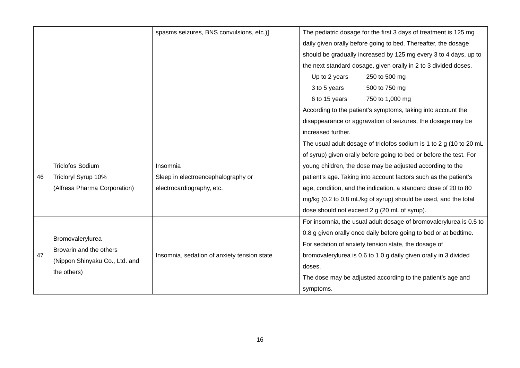|    |                                | spasms seizures, BNS convulsions, etc.)]    | The pediatric dosage for the first 3 days of treatment is 125 mg    |  |  |  |  |  |
|----|--------------------------------|---------------------------------------------|---------------------------------------------------------------------|--|--|--|--|--|
|    |                                |                                             | daily given orally before going to bed. Thereafter, the dosage      |  |  |  |  |  |
|    |                                |                                             | should be gradually increased by 125 mg every 3 to 4 days, up to    |  |  |  |  |  |
|    |                                |                                             | the next standard dosage, given orally in 2 to 3 divided doses.     |  |  |  |  |  |
|    |                                |                                             | Up to 2 years<br>250 to 500 mg                                      |  |  |  |  |  |
|    |                                |                                             | 3 to 5 years<br>500 to 750 mg                                       |  |  |  |  |  |
|    |                                |                                             | 6 to 15 years<br>750 to 1,000 mg                                    |  |  |  |  |  |
|    |                                |                                             | According to the patient's symptoms, taking into account the        |  |  |  |  |  |
|    |                                |                                             | disappearance or aggravation of seizures, the dosage may be         |  |  |  |  |  |
|    |                                |                                             | increased further.                                                  |  |  |  |  |  |
|    |                                |                                             | The usual adult dosage of triclofos sodium is 1 to 2 g (10 to 20 mL |  |  |  |  |  |
|    |                                |                                             | of syrup) given orally before going to bed or before the test. For  |  |  |  |  |  |
|    | <b>Triclofos Sodium</b>        | Insomnia                                    | young children, the dose may be adjusted according to the           |  |  |  |  |  |
| 46 | Tricloryl Syrup 10%            | Sleep in electroencephalography or          | patient's age. Taking into account factors such as the patient's    |  |  |  |  |  |
|    | (Alfresa Pharma Corporation)   | electrocardiography, etc.                   | age, condition, and the indication, a standard dose of 20 to 80     |  |  |  |  |  |
|    |                                |                                             | mg/kg (0.2 to 0.8 mL/kg of syrup) should be used, and the total     |  |  |  |  |  |
|    |                                |                                             | dose should not exceed 2 g (20 mL of syrup).                        |  |  |  |  |  |
|    |                                |                                             | For insomnia, the usual adult dosage of bromovalerylurea is 0.5 to  |  |  |  |  |  |
|    | Bromovalerylurea               |                                             | 0.8 g given orally once daily before going to bed or at bedtime.    |  |  |  |  |  |
|    | Brovarin and the others        |                                             | For sedation of anxiety tension state, the dosage of                |  |  |  |  |  |
| 47 | (Nippon Shinyaku Co., Ltd. and | Insomnia, sedation of anxiety tension state | bromovalerylurea is 0.6 to 1.0 g daily given orally in 3 divided    |  |  |  |  |  |
|    | the others)                    |                                             | doses.                                                              |  |  |  |  |  |
|    |                                |                                             | The dose may be adjusted according to the patient's age and         |  |  |  |  |  |
|    |                                |                                             | symptoms.                                                           |  |  |  |  |  |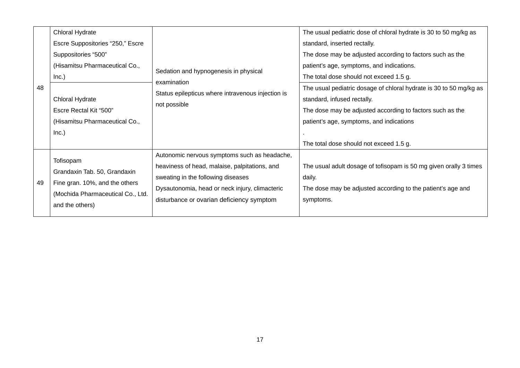|    | Chloral Hydrate                   |                                                                   | The usual pediatric dose of chloral hydrate is 30 to 50 mg/kg as   |  |  |
|----|-----------------------------------|-------------------------------------------------------------------|--------------------------------------------------------------------|--|--|
|    | Escre Suppositories "250," Escre  |                                                                   | standard, inserted rectally.                                       |  |  |
|    | Suppositories "500"               |                                                                   | The dose may be adjusted according to factors such as the          |  |  |
|    | (Hisamitsu Pharmaceutical Co.,    | Sedation and hypnogenesis in physical                             | patient's age, symptoms, and indications.                          |  |  |
| 48 | Inc.)                             |                                                                   | The total dose should not exceed 1.5 g.                            |  |  |
|    |                                   | examination                                                       | The usual pediatric dosage of chloral hydrate is 30 to 50 mg/kg as |  |  |
|    | Chloral Hydrate                   | Status epilepticus where intravenous injection is<br>not possible | standard, infused rectally.                                        |  |  |
|    | Escre Rectal Kit "500"            |                                                                   | The dose may be adjusted according to factors such as the          |  |  |
|    | (Hisamitsu Pharmaceutical Co.,    |                                                                   | patient's age, symptoms, and indications                           |  |  |
|    | Inc.)                             |                                                                   |                                                                    |  |  |
|    |                                   |                                                                   | The total dose should not exceed 1.5 g.                            |  |  |
|    | Tofisopam                         | Autonomic nervous symptoms such as headache,                      |                                                                    |  |  |
|    | Grandaxin Tab. 50, Grandaxin      | heaviness of head, malaise, palpitations, and                     | The usual adult dosage of tofisopam is 50 mg given orally 3 times  |  |  |
| 49 | Fine gran. 10%, and the others    | sweating in the following diseases                                | daily.                                                             |  |  |
|    |                                   | Dysautonomia, head or neck injury, climacteric                    | The dose may be adjusted according to the patient's age and        |  |  |
|    | (Mochida Pharmaceutical Co., Ltd. | disturbance or ovarian deficiency symptom                         | symptoms.                                                          |  |  |
|    | and the others)                   |                                                                   |                                                                    |  |  |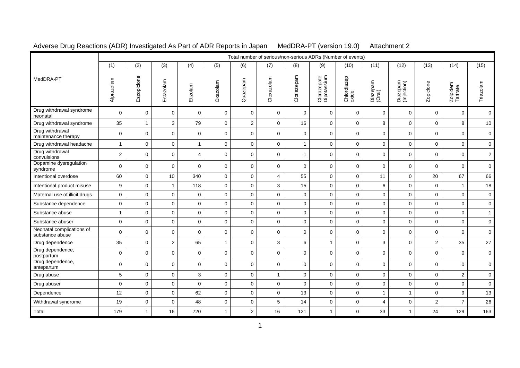|  | Adverse Drug Reactions (ADR) Investigated As Part of ADR Reports in Japan |
|--|---------------------------------------------------------------------------|
|  |                                                                           |

MedDRA-PT (version 19.0) Attachment 2

|                                              |                |              |                |                |              |                  |              |              |                            | Total number of serious/non-serious ADRs (Number of events) |                    |                         |                         |                      |                     |
|----------------------------------------------|----------------|--------------|----------------|----------------|--------------|------------------|--------------|--------------|----------------------------|-------------------------------------------------------------|--------------------|-------------------------|-------------------------|----------------------|---------------------|
|                                              | (1)            | (2)          | (3)            | (4)            | (5)          | (6)              | (7)          | (8)          | (9)                        | (10)                                                        | (11)               | (12)                    | (13)                    | (14)                 | (15)                |
| MedDRA-PT                                    | Alprazolam     | Eszopidone   | Estazolam      | Etizolam       | Oxazolam     | Quazepam         | Cloxazolam   | Clotiazepam  | Clorazepate<br>Dipotassium | Chlordiazep<br>oxide                                        | Diazepam<br>(Oral) | Diazepam<br>(Injection) | Zopiclone               | Zolpidem<br>Tartrate | Triazolam           |
| Drug withdrawal syndrome<br>neonatal         | $\mathbf 0$    | $\mathbf 0$  | $\mathbf 0$    | $\mathbf 0$    | $\mathbf 0$  | 0                | $\mathbf 0$  | $\mathbf 0$  | $\mathbf 0$                | $\mathbf 0$                                                 | $\mathbf 0$        | $\mathbf 0$             | $\mathbf 0$             | $\mathbf 0$          | $\overline{0}$      |
| Drug withdrawal syndrome                     | 35             | $\mathbf{1}$ | 3              | 79             | $\mathbf 0$  | $\boldsymbol{2}$ | 0            | 16           | $\mathbf 0$                | $\pmb{0}$                                                   | 8                  | $\mathbf 0$             | $\mathbf 0$             | 8                    | 10                  |
| Drug withdrawal<br>maintenance therapy       | $\mathbf 0$    | $\pmb{0}$    | $\mathbf 0$    | $\mathbf 0$    | $\mathbf 0$  | $\mathbf 0$      | $\mathbf 0$  | $\mathbf 0$  | $\mathbf 0$                | $\mathbf 0$                                                 | $\mathbf 0$        | $\mathbf 0$             | 0                       | $\mathbf 0$          | $\mathbf 0$         |
| Drug withdrawal headache                     | $\mathbf{1}$   | $\pmb{0}$    | 0              | $\mathbf{1}$   | $\mathbf 0$  | 0                | 0            | 1            | $\mathbf 0$                | $\pmb{0}$                                                   | 0                  | 0                       | $\mathbf 0$             | $\mathbf 0$          | $\mathbf 0$         |
| Drug withdrawal<br>convulsions               | $\overline{c}$ | $\mathbf 0$  | $\mathbf 0$    | $\overline{4}$ | $\mathbf 0$  | $\mathbf 0$      | $\mathbf 0$  | $\mathbf{1}$ | $\mathbf 0$                | $\mathbf 0$                                                 | $\mathbf 0$        | $\mathbf 0$             | $\mathbf 0$             | $\mathbf 0$          | $\overline{a}$      |
| Dopamine dysregulation<br>syndrome           | $\mathbf 0$    | $\mathbf 0$  | $\mathbf 0$    | $\mathbf 0$    | $\mathbf 0$  | $\mathbf 0$      | $\mathbf 0$  | $\mathbf 0$  | $\mathbf 0$                | $\mathbf 0$                                                 | $\mathbf 0$        | $\mathbf 0$             | $\mathbf 0$             | $\mathbf 0$          | $\mathbf 0$         |
| Intentional overdose                         | 60             | $\mathbf 0$  | 10             | 340            | $\mathbf 0$  | $\mathbf 0$      | 4            | 55           | $\mathbf 0$                | $\mathbf 0$                                                 | 11                 | $\mathbf 0$             | 20                      | 67                   | 66                  |
| Intentional product misuse                   | 9              | $\mathbf 0$  | $\mathbf{1}$   | 118            | $\mathbf 0$  | $\mathbf 0$      | 3            | 15           | $\mathsf 0$                | $\mathbf 0$                                                 | 6                  | $\mathbf 0$             | $\mathbf 0$             | $\mathbf{1}$         | 18                  |
| Maternal use of illicit drugs                | $\mathbf{0}$   | $\mathbf 0$  | $\mathbf 0$    | $\mathbf 0$    | $\mathbf 0$  | $\mathbf 0$      | $\mathbf 0$  | $\pmb{0}$    | $\mathbf{0}$               | $\mathbf 0$                                                 | $\mathbf{0}$       | $\mathbf 0$             | $\overline{0}$          | $\mathbf 0$          | $\mathsf{O}\xspace$ |
| Substance dependence                         | $\mathsf 0$    | $\pmb{0}$    | $\mathbf 0$    | $\mathbf 0$    | $\mathbf{0}$ | $\mathbf 0$      | $\mathbf 0$  | $\pmb{0}$    | $\mathsf 0$                | $\pmb{0}$                                                   | $\mathbf 0$        | $\mathbf 0$             | $\mathbf 0$             | $\mathbf 0$          | $\mathbf 0$         |
| Substance abuse                              | $\mathbf{1}$   | $\mathbf 0$  | $\mathbf 0$    | $\mathbf 0$    | $\mathbf 0$  | $\mathbf 0$      | $\mathbf 0$  | $\mathbf 0$  | $\mathbf 0$                | $\mathbf 0$                                                 | $\mathbf 0$        | $\mathbf 0$             | $\mathbf 0$             | $\mathbf 0$          | $\mathbf{1}$        |
| Substance abuser                             | $\pmb{0}$      | $\mathbf 0$  | $\pmb{0}$      | $\mathsf 0$    | $\mathbf 0$  | $\pmb{0}$        | $\pmb{0}$    | $\pmb{0}$    | $\mathsf 0$                | $\mathbf 0$                                                 | $\mathbf 0$        | $\pmb{0}$               | $\mathbf 0$             | $\pmb{0}$            | $\mathsf{O}\xspace$ |
| Neonatal complications of<br>substance abuse | $\mathbf 0$    | $\pmb{0}$    | 0              | 0              | $\mathbf 0$  | $\mathbf 0$      | 0            | $\pmb{0}$    | $\mathbf 0$                | $\pmb{0}$                                                   | $\mathbf 0$        | 0                       | 0                       | $\mathbf 0$          | $\mathbf 0$         |
| Drug dependence                              | 35             | $\mathbf 0$  | $\overline{c}$ | 65             | $\mathbf{1}$ | $\mathbf 0$      | 3            | 6            | $\mathbf{1}$               | $\mathbf 0$                                                 | 3                  | $\mathbf 0$             | $\overline{2}$          | 35                   | 27                  |
| Drug dependence,<br>postpartum               | 0              | $\mathbf 0$  | $\mathbf 0$    | $\mathbf 0$    | $\mathbf 0$  | $\mathbf 0$      | $\mathbf 0$  | $\mathbf 0$  | $\mathbf 0$                | $\mathbf 0$                                                 | $\mathbf 0$        | $\mathbf 0$             | $\mathbf 0$             | $\mathbf 0$          | $\mathbf 0$         |
| Drug dependence,<br>antepartum               | $\mathbf 0$    | $\mathbf 0$  | $\mathbf 0$    | $\mathbf 0$    | $\mathbf 0$  | $\mathbf 0$      | $\mathbf 0$  | $\mathbf 0$  | $\mathbf 0$                | $\mathbf 0$                                                 | $\mathbf 0$        | $\mathbf 0$             | $\mathbf 0$             | $\mathbf 0$          | $\mathbf 0$         |
| Drug abuse                                   | $\overline{5}$ | $\mathbf 0$  | $\mathsf 0$    | 3              | $\mathsf 0$  | $\pmb{0}$        | $\mathbf{1}$ | $\pmb{0}$    | $\mathsf 0$                | $\pmb{0}$                                                   | $\mathbf{0}$       | $\mathbf 0$             | $\mathsf{O}\xspace$     | $\sqrt{2}$           | $\mathsf{O}\xspace$ |
| Drug abuser                                  | $\mathbf 0$    | $\mathbf 0$  | $\mathbf 0$    | $\mathbf 0$    | $\mathbf 0$  | $\mathbf 0$      | $\mathsf 0$  | $\mathbf 0$  | $\mathsf 0$                | $\pmb{0}$                                                   | $\mathbf 0$        | $\mathbf 0$             | $\mathbf 0$             | $\mathbf 0$          | $\mathsf{O}\xspace$ |
| Dependence                                   | 12             | $\mathbf 0$  | $\mathbf 0$    | 62             | $\mathbf 0$  | $\mathbf 0$      | $\mathbf 0$  | 13           | $\mathbf 0$                | $\mathbf 0$                                                 | $\mathbf{1}$       | 1                       | $\mathbf 0$             | 9                    | 13                  |
| Withdrawal syndrome                          | 19             | $\pmb{0}$    | $\mathbf 0$    | 48             | $\mathsf 0$  | $\mathbf 0$      | 5            | 14           | $\mathbf 0$                | $\mathbf 0$                                                 | 4                  | $\mathbf 0$             | $\overline{\mathbf{c}}$ | $\overline{7}$       | 26                  |
| Total                                        | 179            | $\mathbf{1}$ | 16             | 720            | $\mathbf{1}$ | $\overline{c}$   | 16           | 121          | $\mathbf{1}$               | $\mathbf 0$                                                 | 33                 | $\mathbf{1}$            | 24                      | 129                  | 163                 |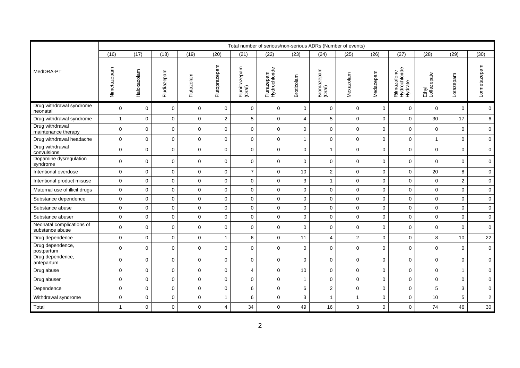|                                              |                |             |             |              |                |                         |                             |                |                         | Total number of serious/non-serious ADRs (Number of events) |             |                                         |                      |                |                     |
|----------------------------------------------|----------------|-------------|-------------|--------------|----------------|-------------------------|-----------------------------|----------------|-------------------------|-------------------------------------------------------------|-------------|-----------------------------------------|----------------------|----------------|---------------------|
|                                              | (16)           | (17)        | (18)        | (19)         | (20)           | (21)                    | (22)                        | (23)           | (24)                    | (25)                                                        | (26)        | (27)                                    | (28)                 | (29)           | (30)                |
| MedDRA-PT                                    | Nimetazepam    | Haloxazolam | Fludiazepam | Flutazolam   | Flutoprazepam  | Flunitrazepam<br>(Oral) | Flurazepam<br>Hydrochloride | Brotizolam     | Bromazepam<br>(Oral)    | Mexazolam                                                   | Medazepam   | Rilmazafone<br>Hydrochloride<br>Hydrate | Ethyl<br>Loflazepate | Lorazepam      | Lormetazepam        |
| Drug withdrawal syndrome<br>neonatal         | 0              | 0           | 0           | $\mathbf 0$  | 0              | 0                       | 0                           | 0              | $\mathbf 0$             | $\mathbf{0}$                                                | 0           | $\mathbf 0$                             | $\mathbf 0$          | $\mathbf 0$    | $\mathbf 0$         |
| Drug withdrawal syndrome                     | $\overline{1}$ | $\mathbf 0$ | $\mathbf 0$ | $\mathbf 0$  | $\overline{2}$ | 5                       | 0                           | $\overline{4}$ | 5                       | $\mathbf 0$                                                 | $\mathbf 0$ | $\mathbf 0$                             | 30                   | 17             | 6                   |
| Drug withdrawal<br>maintenance therapy       | $\mathbf 0$    | $\mathbf 0$ | 0           | $\mathbf{0}$ | $\mathbf{0}$   | $\mathbf 0$             | 0                           | 0              | $\pmb{0}$               | $\mathbf 0$                                                 | 0           | $\mathbf 0$                             | $\mathbf 0$          | $\mathbf 0$    | $\pmb{0}$           |
| Drug withdrawal headache                     | 0              | 0           | 0           | $\mathbf 0$  | 0              | $\mathbf 0$             | 0                           | $\mathbf{1}$   | $\mathbf 0$             | $\mathbf 0$                                                 | $\mathbf 0$ | $\mathbf 0$                             | $\overline{1}$       | $\mathbf 0$    | $\pmb{0}$           |
| Drug withdrawal<br>convulsions               | 0              | $\mathbf 0$ | 0           | $\mathbf 0$  | $\mathbf 0$    | $\mathbf 0$             | 0                           | 0              | $\mathbf{1}$            | $\mathbf{0}$                                                | $\mathbf 0$ | $\mathbf 0$                             | $\mathbf 0$          | $\mathbf 0$    | $\mathsf{O}$        |
| Dopamine dysregulation<br>syndrome           | $\mathbf 0$    | $\mathbf 0$ | $\mathbf 0$ | $\mathbf 0$  | 0              | $\mathbf 0$             | 0                           | 0              | $\mathbf 0$             | $\mathbf 0$                                                 | 0           | $\mathbf 0$                             | $\mathbf 0$          | $\mathbf 0$    | $\mathbf 0$         |
| Intentional overdose                         | 0              | 0           | 0           | $\mathbf 0$  | 0              | $\overline{7}$          | 0                           | 10             | $\sqrt{2}$              | $\mathbf 0$                                                 | $\mathbf 0$ | $\mathbf 0$                             | 20                   | 8              | $\mathsf 0$         |
| Intentional product misuse                   | 0              | $\mathbf 0$ | $\mathbf 0$ | $\mathbf 0$  | $\mathbf{0}$   | $\mathbf 0$             | $\overline{0}$              | 3              | $\mathbf{1}$            | $\mathbf 0$                                                 | $\mathbf 0$ | $\Omega$                                | $\Omega$             | $\overline{2}$ | $\mathsf 0$         |
| Maternal use of illicit drugs                | $\mathbf 0$    | $\mathbf 0$ | $\mathbf 0$ | $\mathbf 0$  | $\mathbf{0}$   | $\mathbf 0$             | 0                           | 0              | $\mathbf 0$             | $\mathbf 0$                                                 | 0           | $\mathbf 0$                             | $\mathbf 0$          | $\mathbf 0$    | $\mathsf{O}\xspace$ |
| Substance dependence                         | 0              | 0           | 0           | $\mathbf 0$  | 0              | $\mathbf 0$             | 0                           | 0              | $\mathbf 0$             | $\mathbf 0$                                                 | $\mathbf 0$ | $\mathbf 0$                             | $\mathbf 0$          | $\mathbf 0$    | $\mathbf 0$         |
| Substance abuse                              | $\pmb{0}$      | 0           | 0           | $\mathbf 0$  | 0              | 0                       | 0                           | 0              | $\mathbf 0$             | $\mathbf 0$                                                 | 0           | $\mathbf 0$                             | $\mathbf 0$          | $\mathbf 0$    | $\mathsf 0$         |
| Substance abuser                             | $\mathbf 0$    | 0           | 0           | $\mathbf 0$  | $\mathbf{0}$   | $\mathbf 0$             | 0                           | 0              | $\mathbf 0$             | $\mathbf 0$                                                 | $\mathbf 0$ | $\mathbf 0$                             | $\mathbf 0$          | $\mathbf 0$    | $\mathsf{O}\xspace$ |
| Neonatal complications of<br>substance abuse | $\pmb{0}$      | 0           | 0           | $\mathbf 0$  | 0              | $\mathbf 0$             | 0                           | 0              | 0                       | $\mathbf 0$                                                 | 0           | $\mathbf 0$                             | $\mathbf 0$          | $\mathbf 0$    | $\mathbf 0$         |
| Drug dependence                              | 0              | 0           | 0           | $\mathbf 0$  | $\overline{1}$ | 6                       | 0                           | 11             | $\overline{\mathbf{4}}$ | $\sqrt{2}$                                                  | 0           | $\mathbf 0$                             | 8                    | $10$           | $22\,$              |
| Drug dependence,<br>postpartum               | 0              | 0           | 0           | $\mathbf 0$  | 0              | 0                       | 0                           | 0              | 0                       | $\mathbf 0$                                                 | 0           | $\mathbf 0$                             | $\mathbf 0$          | $\mathbf 0$    | $\pmb{0}$           |
| Drug dependence,<br>antepartum               | 0              | $\mathbf 0$ | 0           | $\mathbf 0$  | 0              | $\mathbf 0$             | 0                           | $\mathbf 0$    | $\mathbf 0$             | $\mathbf 0$                                                 | 0           | $\mathbf 0$                             | $\mathbf 0$          | $\mathbf 0$    | $\mathbf 0$         |
| Drug abuse                                   | $\mathbf 0$    | $\mathbf 0$ | $\mathbf 0$ | $\mathbf 0$  | 0              | 4                       | 0                           | 10             | $\mathbf 0$             | $\mathbf 0$                                                 | $\mathbf 0$ | $\mathbf 0$                             | $\mathbf 0$          | $\overline{1}$ | $\mathbf 0$         |
| Drug abuser                                  | $\mathsf 0$    | $\mathbf 0$ | 0           | $\mathbf 0$  | $\mathsf 0$    | $\mathbf 0$             | 0                           | $\overline{1}$ | $\mathbf 0$             | $\mathbf 0$                                                 | $\mathsf 0$ | $\mathbf 0$                             | $\pmb{0}$            | $\mathbf 0$    | $\mathsf 0$         |
| Dependence                                   | $\mathbf 0$    | 0           | 0           | $\mathsf 0$  | 0              | 6                       | 0                           | 6              | $\overline{c}$          | $\mathsf 0$                                                 | 0           | $\mathsf{O}\xspace$                     | $\sqrt{5}$           | 3              | $\mathsf{O}\xspace$ |
| Withdrawal syndrome                          | $\pmb{0}$      | $\mathbf 0$ | 0           | $\mathbf 0$  | $\mathbf{1}$   | 6                       | $\mathsf{O}\xspace$         | 3              | $\mathbf{1}$            | $\mathbf{1}$                                                | $\mathbf 0$ | $\mathbf 0$                             | 10                   | 5              | $\mathbf 2$         |
| Total                                        | $\mathbf{1}$   | 0           | 0           | 0            | 4              | 34                      | 0                           | 49             | 16                      | 3                                                           | 0           | 0                                       | 74                   | 46             | $30\,$              |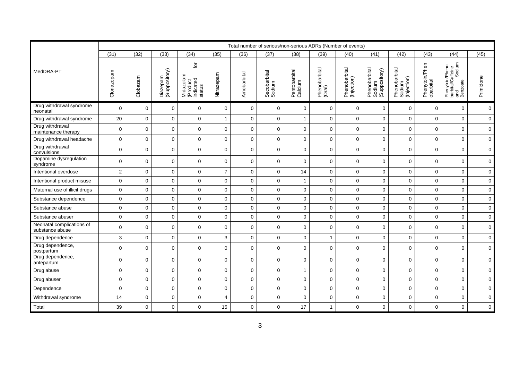|                                              |                |             |                           |                                                   |                |             |                        |                          |                         | Total number of serious/non-serious ADRs (Number of events) |                                          |                                        |                             |                                                                |                     |
|----------------------------------------------|----------------|-------------|---------------------------|---------------------------------------------------|----------------|-------------|------------------------|--------------------------|-------------------------|-------------------------------------------------------------|------------------------------------------|----------------------------------------|-----------------------------|----------------------------------------------------------------|---------------------|
|                                              | (31)           | (32)        | (33)                      | (34)                                              | (35)           | (36)        | (37)                   | (38)                     | (39)                    | (40)                                                        | (41)                                     | (42)                                   | (43)                        | (44)                                                           | (45)                |
| MedDRA-PT                                    | Clonazepam     | Clobazam    | Diazepam<br>(Suppository) | đ<br>Midazolam<br>(Product<br>indicated<br>status | Nitrazepam     | Amobarbital | Secobarbital<br>Sodium | Pentobarbital<br>Calcium | Phenobarbital<br>(Oral) | Phenobarbital<br>(Injection)                                | Phenobarbital<br>Sodium<br>(Suppository) | Phenobarbital<br>Sodium<br>(Injection) | Phenytoin/Phen<br>obarbital | Phenytoin/Pheno<br>barbital/Caffeine<br>and Sodium<br>Benzoate | Primidone           |
| Drug withdrawal syndrome<br>neonatal         | 0              | 0           | 0                         | 0                                                 | $\mathbf 0$    | 0           | 0                      | 0                        | $\mathbf 0$             | $\mathbf{0}$                                                | 0                                        | $\mathbf 0$                            | $\mathbf 0$                 | $\mathbf 0$                                                    | $\mathbf 0$         |
| Drug withdrawal syndrome                     | 20             | $\mathbf 0$ | 0                         | $\mathbf 0$                                       | $\mathbf{1}$   | $\mathbf 0$ | 0                      | $\overline{1}$           | $\mathbf 0$             | $\mathbf 0$                                                 | $\mathbf 0$                              | $\mathbf 0$                            | $\mathbf 0$                 | $\mathbf 0$                                                    | $\mathbf 0$         |
| Drug withdrawal<br>maintenance therapy       | $\mathbf 0$    | $\mathbf 0$ | 0                         | 0                                                 | 0              | $\mathbf 0$ | 0                      | 0                        | $\mathsf{O}\xspace$     | $\mathbf 0$                                                 | 0                                        | $\mathbf 0$                            | $\mathbf 0$                 | $\mathbf 0$                                                    | $\pmb{0}$           |
| Drug withdrawal headache                     | 0              | $\mathbf 0$ | 0                         | $\mathbf 0$                                       | 0              | $\mathbf 0$ | 0                      | 0                        | $\mathbf 0$             | $\mathbf 0$                                                 | $\mathbf 0$                              | $\mathbf 0$                            | $\mathbf 0$                 | $\mathbf 0$                                                    | $\pmb{0}$           |
| Drug withdrawal<br>convulsions               | 0              | $\mathbf 0$ | $\mathbf 0$               | $\mathbf 0$                                       | $\mathbf 0$    | 0           | 0                      | 0                        | $\mathbf 0$             | $\mathbf 0$                                                 | 0                                        | $\mathbf 0$                            | $\mathbf 0$                 | $\mathbf 0$                                                    | $\mathsf{O}$        |
| Dopamine dysregulation<br>syndrome           | $\mathbf 0$    | $\mathbf 0$ | $\mathbf 0$               | $\mathbf 0$                                       | 0              | $\mathbf 0$ | 0                      | 0                        | $\mathbf 0$             | $\mathbf 0$                                                 | 0                                        | $\mathbf 0$                            | $\mathbf 0$                 | $\mathbf 0$                                                    | $\mathbf 0$         |
| Intentional overdose                         | $\overline{c}$ | 0           | 0                         | $\mathbf 0$                                       | $\overline{7}$ | 0           | 0                      | 14                       | $\mathbf 0$             | $\mathbf 0$                                                 | 0                                        | $\mathbf 0$                            | $\mathbf 0$                 | $\mathbf 0$                                                    | $\mathsf 0$         |
| Intentional product misuse                   | 0              | $\mathbf 0$ | $\mathbf 0$               | 0                                                 | $\mathbf{0}$   | $\mathbf 0$ | $\overline{0}$         | $\mathbf{1}$             | $\mathbf 0$             | $\mathbf 0$                                                 | 0                                        | $\Omega$                               | $\Omega$                    | $\mathbf 0$                                                    | $\mathsf{O}\xspace$ |
| Maternal use of illicit drugs                | 0              | $\mathbf 0$ | $\mathbf 0$               | $\mathbf 0$                                       | 0              | 0           | 0                      | 0                        | $\pmb{0}$               | $\mathbf 0$                                                 | 0                                        | $\mathbf 0$                            | $\mathbf 0$                 | $\mathbf 0$                                                    | $\mathsf 0$         |
| Substance dependence                         | $\mathbf 0$    | 0           | 0                         | $\mathbf 0$                                       | 0              | $\mathbf 0$ | 0                      | 0                        | $\mathbf 0$             | $\mathbf 0$                                                 | $\mathbf 0$                              | $\mathbf 0$                            | $\mathbf 0$                 | $\mathbf 0$                                                    | $\mathbf 0$         |
| Substance abuse                              | $\pmb{0}$      | 0           | 0                         | $\mathbf 0$                                       | 0              | 0           | 0                      | 0                        | $\mathbf 0$             | $\mathbf 0$                                                 | 0                                        | $\mathbf 0$                            | $\mathbf 0$                 | $\mathbf 0$                                                    | $\mathsf 0$         |
| Substance abuser                             | $\mathbf 0$    | 0           | 0                         | $\mathbf 0$                                       | 0              | $\mathbf 0$ | 0                      | 0                        | $\mathbf 0$             | $\mathbf 0$                                                 | $\mathbf 0$                              | $\mathbf 0$                            | $\mathbf 0$                 | $\mathbf 0$                                                    | $\mathsf{O}\xspace$ |
| Neonatal complications of<br>substance abuse | $\pmb{0}$      | $\mathbf 0$ | 0                         | 0                                                 | 0              | $\mathbf 0$ | 0                      | 0                        | 0                       | $\mathbf 0$                                                 | 0                                        | $\mathbf 0$                            | $\mathbf 0$                 | $\mathbf 0$                                                    | $\mathbf 0$         |
| Drug dependence                              | 3              | 0           | 0                         | $\mathbf 0$                                       | 3              | $\mathbf 0$ | 0                      | $\pmb{0}$                | $\overline{1}$          | $\mathbf 0$                                                 | 0                                        | $\mathbf 0$                            | $\pmb{0}$                   | $\mathbf 0$                                                    | $\pmb{0}$           |
| Drug dependence,<br>postpartum               | 0              | 0           | 0                         | $\mathbf 0$                                       | 0              | $\mathbf 0$ | 0                      | 0                        | 0                       | $\mathbf 0$                                                 | 0                                        | $\mathbf 0$                            | $\mathbf 0$                 | $\mathbf 0$                                                    | $\pmb{0}$           |
| Drug dependence,<br>antepartum               | 0              | $\mathbf 0$ | 0                         | $\mathbf 0$                                       | 0              | $\mathbf 0$ | 0                      | $\mathbf 0$              | 0                       | $\mathbf 0$                                                 | 0                                        | $\mathbf 0$                            | $\mathbf 0$                 | $\mathbf 0$                                                    | $\mathbf 0$         |
| Drug abuse                                   | $\mathbf 0$    | $\mathbf 0$ | $\mathbf 0$               | $\mathbf 0$                                       | 0              | $\mathbf 0$ | 0                      | $\mathbf{1}$             | $\mathbf 0$             | $\mathbf 0$                                                 | $\mathbf 0$                              | $\mathbf 0$                            | $\mathbf 0$                 | $\mathbf 0$                                                    | $\pmb{0}$           |
| Drug abuser                                  | $\mathsf 0$    | $\mathbf 0$ | 0                         | $\mathbf 0$                                       | $\mathsf 0$    | $\mathbf 0$ | 0                      | $\mathsf{O}\xspace$      | $\mathbf 0$             | $\mathbf 0$                                                 | $\mathsf 0$                              | $\mathbf 0$                            | $\pmb{0}$                   | $\mathbf 0$                                                    | $\mathsf{O}\xspace$ |
| Dependence                                   | 0              | 0           | 0                         | $\mathbf 0$                                       | 0              | $\mathbf 0$ | 0                      | $\mathbf 0$              | $\mathsf 0$             | $\mathbf 0$                                                 | 0                                        | $\mathbf 0$                            | $\pmb{0}$                   | $\mathbf 0$                                                    | $\mathsf{O}\xspace$ |
| Withdrawal syndrome                          | 14             | $\mathbf 0$ | 0                         | $\mathbf 0$                                       | $\overline{4}$ | $\mathbf 0$ | 0                      | 0                        | $\mathsf 0$             | $\mathbf 0$                                                 | $\mathbf 0$                              | $\mathbf 0$                            | $\pmb{0}$                   | $\mathbf 0$                                                    | $\mathsf{O}\xspace$ |
| Total                                        | 39             | 0           | 0                         | 0                                                 | 15             | 0           | 0                      | 17                       | $\mathbf{1}$            | 0                                                           | 0                                        | $\mathbf 0$                            | $\mathbf 0$                 | $\mathbf 0$                                                    | $\mathsf 0$         |